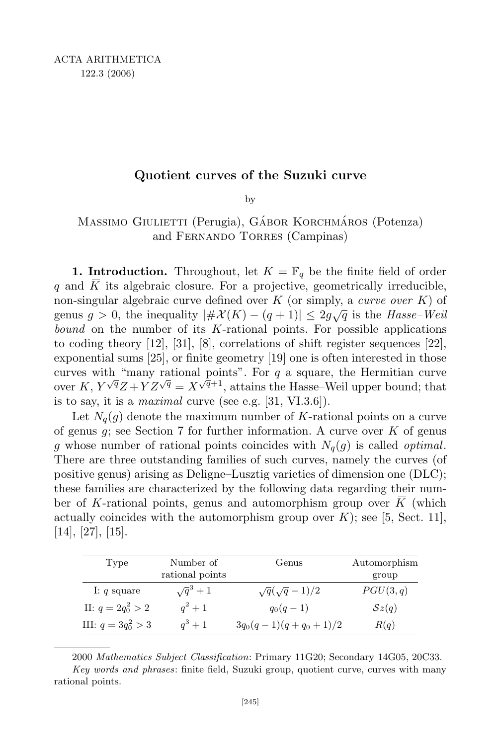## Quotient curves of the Suzuki curve

by

# Massimo Giulietti (Perugia), Gábor Korchmáros (Potenza) and Fernando Torres (Campinas)

**1. Introduction.** Throughout, let  $K = \mathbb{F}_q$  be the finite field of order q and  $\overline{K}$  its algebraic closure. For a projective, geometrically irreducible, non-singular algebraic curve defined over  $K$  (or simply, a *curve over*  $K$ ) of genus  $g > 0$ , the inequality  $|\# \mathcal{X}(K) - (q+1)| \leq 2g\sqrt{q}$  is the Hasse-Weil bound on the number of its  $K$ -rational points. For possible applications to coding theory [12], [31], [8], correlations of shift register sequences [22], exponential sums [25], or finite geometry [19] one is often interested in those curves with "many rational points". For  $q$  a square, the Hermitian curve over  $K, Y^{\sqrt{q}}Z + YZ^{\sqrt{q}} = X^{\sqrt{q}+1}$ , attains the Hasse–Weil upper bound; that is to say, it is a *maximal* curve (see e.g.  $[31, VI.3.6]$ ).

Let  $N_q(q)$  denote the maximum number of K-rational points on a curve of genus  $g$ ; see Section 7 for further information. A curve over  $K$  of genus g whose number of rational points coincides with  $N_q(g)$  is called *optimal*. There are three outstanding families of such curves, namely the curves (of positive genus) arising as Deligne–Lusztig varieties of dimension one (DLC); these families are characterized by the following data regarding their number of K-rational points, genus and automorphism group over  $\overline{K}$  (which actually coincides with the automorphism group over  $K$ ); see [5, Sect. 11], [14], [27], [15].

| Type                  | Number of<br>rational points | Genus                    | Automorphism<br>group |
|-----------------------|------------------------------|--------------------------|-----------------------|
| I: $q$ square         | $\sqrt{q}^3+1$               | $\sqrt{q}(\sqrt{q}-1)/2$ | PGU(3,q)              |
| II: $q = 2q_0^2 > 2$  | $q^2+1$                      | $q_0(q-1)$               | Sz(q)                 |
| III: $q = 3q_0^2 > 3$ | $a^3+1$                      | $3q_0(q-1)(q+q_0+1)/2$   | R(q)                  |

2000 Mathematics Subject Classification: Primary 11G20; Secondary 14G05, 20C33.

Key words and phrases: finite field, Suzuki group, quotient curve, curves with many rational points.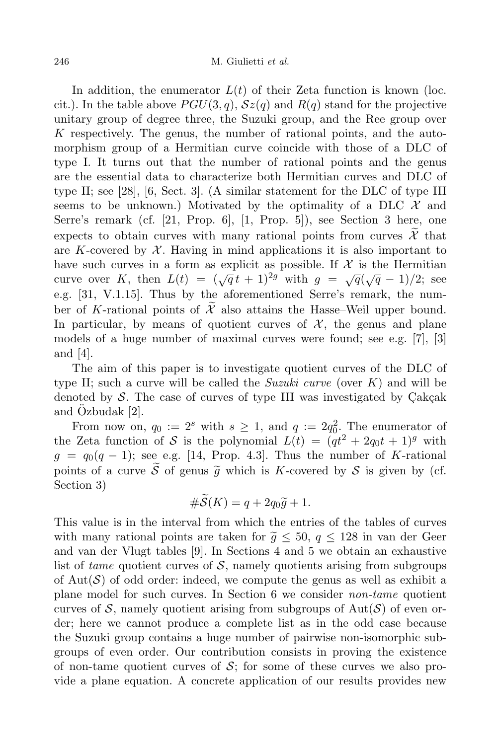In addition, the enumerator  $L(t)$  of their Zeta function is known (loc. cit.). In the table above  $PGU(3, q)$ ,  $Sz(q)$  and  $R(q)$  stand for the projective unitary group of degree three, the Suzuki group, and the Ree group over K respectively. The genus, the number of rational points, and the automorphism group of a Hermitian curve coincide with those of a DLC of type I. It turns out that the number of rational points and the genus are the essential data to characterize both Hermitian curves and DLC of type II; see [28], [6, Sect. 3]. (A similar statement for the DLC of type III seems to be unknown.) Motivated by the optimality of a DLC  $\mathcal X$  and Serre's remark (cf. [21, Prop. 6], [1, Prop. 5]), see Section 3 here, one expects to obtain curves with many rational points from curves  $\mathcal{X}$  that are K-covered by  $\mathcal X$ . Having in mind applications it is also important to have such curves in a form as explicit as possible. If  $\mathcal X$  is the Hermitian curve over K, then  $L(t) = (\sqrt{q}t + 1)^{2g}$  with  $g = \sqrt{q}(\sqrt{q} - 1)/2$ ; see e.g. [31, V.1.15]. Thus by the aforementioned Serre's remark, the number of K-rational points of  $\mathcal{X}$  also attains the Hasse–Weil upper bound. In particular, by means of quotient curves of  $\mathcal{X}$ , the genus and plane models of a huge number of maximal curves were found; see e.g. [7], [3] and [4].

The aim of this paper is to investigate quotient curves of the DLC of type II; such a curve will be called the *Suzuki curve* (over  $K$ ) and will be denoted by  $S$ . The case of curves of type III was investigated by  $Cakçak$ and Ozbudak  $[2]$ .

From now on,  $q_0 := 2^s$  with  $s \geq 1$ , and  $q := 2q_0^2$ . The enumerator of the Zeta function of S is the polynomial  $L(t) = (qt^2 + 2q_0t + 1)^g$  with  $g = q_0(q-1)$ ; see e.g. [14, Prop. 4.3]. Thus the number of K-rational points of a curve  $\widetilde{S}$  of genus  $\widetilde{g}$  which is K-covered by S is given by (cf. Section 3)

$$
#S(K) = q + 2q_0\widetilde{g} + 1.
$$

This value is in the interval from which the entries of the tables of curves with many rational points are taken for  $\tilde{g} \leq 50$ ,  $q \leq 128$  in van der Geer and van der Vlugt tables [9]. In Sections 4 and 5 we obtain an exhaustive list of tame quotient curves of  $S$ , namely quotients arising from subgroups of  $Aut(\mathcal{S})$  of odd order: indeed, we compute the genus as well as exhibit a plane model for such curves. In Section 6 we consider non-tame quotient curves of  $S$ , namely quotient arising from subgroups of Aut $(S)$  of even order; here we cannot produce a complete list as in the odd case because the Suzuki group contains a huge number of pairwise non-isomorphic subgroups of even order. Our contribution consists in proving the existence of non-tame quotient curves of  $\mathcal{S}$ ; for some of these curves we also provide a plane equation. A concrete application of our results provides new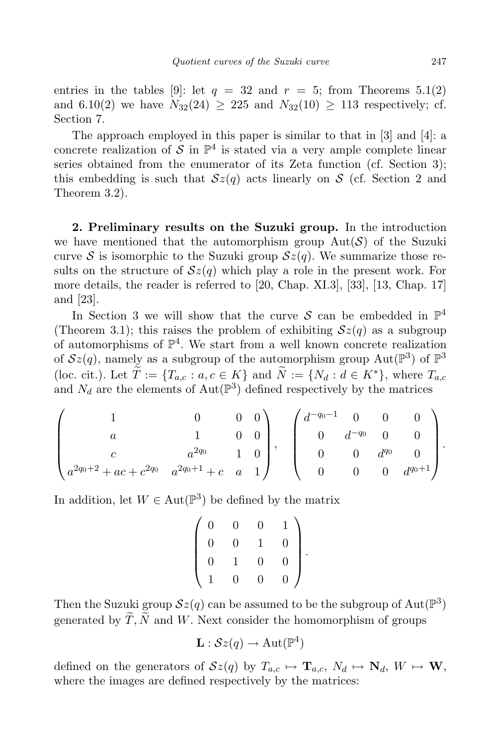entries in the tables [9]: let  $q = 32$  and  $r = 5$ ; from Theorems  $5.1(2)$ and 6.10(2) we have  $N_{32}(24) \geq 225$  and  $N_{32}(10) \geq 113$  respectively; cf. Section 7.

The approach employed in this paper is similar to that in [3] and [4]: a concrete realization of S in  $\mathbb{P}^4$  is stated via a very ample complete linear series obtained from the enumerator of its Zeta function (cf. Section 3); this embedding is such that  $\mathcal{S}z(q)$  acts linearly on S (cf. Section 2 and Theorem 3.2).

2. Preliminary results on the Suzuki group. In the introduction we have mentioned that the automorphism group  $Aut(S)$  of the Suzuki curve S is isomorphic to the Suzuki group  $\mathcal{S}z(q)$ . We summarize those results on the structure of  $\mathcal{S}z(q)$  which play a role in the present work. For more details, the reader is referred to [20, Chap. XI.3], [33], [13, Chap. 17] and [23].

In Section 3 we will show that the curve S can be embedded in  $\mathbb{P}^4$ (Theorem 3.1); this raises the problem of exhibiting  $\mathcal{S}z(q)$  as a subgroup of automorphisms of  $\mathbb{P}^4$ . We start from a well known concrete realization of  $Sz(q)$ , namely as a subgroup of the automorphism group  $Aut(\mathbb{P}^3)$  of  $\mathbb{P}^3$ (loc. cit.). Let  $\widetilde{T} := \{T_{a,c} : a, c \in K\}$  and  $\widetilde{N} := \{N_d : d \in K^*\}$ , where  $T_{a,c}$ and  $N_d$  are the elements of  $\text{Aut}(\mathbb{P}^3)$  defined respectively by the matrices

$$
\begin{pmatrix} 1 & 0 & 0 & 0 \ a & 1 & 0 & 0 \ c & a^{2q_0} & 1 & 0 \ a^{2q_0+2}+ac+c^{2q_0} & a^{2q_0+1}+c & a & 1 \end{pmatrix}, \begin{pmatrix} d^{-q_0-1} & 0 & 0 & 0 \ 0 & d^{-q_0} & 0 & 0 \ 0 & 0 & d^{q_0} & 0 \ 0 & 0 & 0 & 0 & d^{q_0+1} \end{pmatrix}.
$$

In addition, let  $W \in \text{Aut}(\mathbb{P}^3)$  be defined by the matrix

$$
\left(\begin{array}{cccc} 0 & 0 & 0 & 1 \\ 0 & 0 & 1 & 0 \\ 0 & 1 & 0 & 0 \\ 1 & 0 & 0 & 0 \end{array}\right)
$$

.

Then the Suzuki group  $\mathcal{S}z(q)$  can be assumed to be the subgroup of  $\text{Aut}(\mathbb{P}^3)$ generated by  $\widetilde{T}, \widetilde{N}$  and W. Next consider the homomorphism of groups

$$
\mathbf{L}: \mathcal{S}z(q) \to \operatorname{Aut}(\mathbb{P}^4)
$$

defined on the generators of  $\mathcal{S}z(q)$  by  $T_{a,c} \mapsto \mathbf{T}_{a,c}, N_d \mapsto \mathbf{N}_d, W \mapsto \mathbf{W}$ , where the images are defined respectively by the matrices: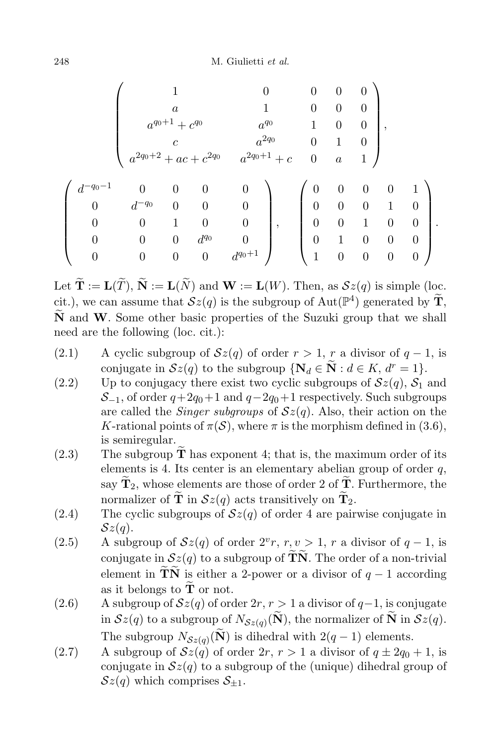248 M. Giulietti et al.

$$
\left(\begin{array}{cccccc} & 1 & 0 & 0 & 0 & 0 \\ & a & 1 & 0 & 0 & 0 \\ & a^{q_0+1} + c^{q_0} & a^{q_0} & 1 & 0 & 0 \\ & c & a^{2q_0} & 0 & 1 & 0 \\ & a^{2q_0+2} + ac + c^{2q_0} & a^{2q_0+1} + c & 0 & a & 1 \end{array}\right),\newline
$$

$$
\left(\begin{array}{cccccc} d^{-q_0-1} & 0 & 0 & 0 & 0 \\ 0 & d^{-q_0} & 0 & 0 & 0 \\ 0 & 0 & 1 & 0 & 0 \\ 0 & 0 & 0 & d^{q_0} & 0 \\ 0 & 0 & 0 & 0 & d^{q_0+1} \end{array}\right),\quad \left(\begin{array}{cccccc} 0 & 0 & 0 & 0 & 1 \\ 0 & 0 & 0 & 1 & 0 \\ 0 & 0 & 1 & 0 & 0 \\ 0 & 1 & 0 & 0 & 0 \\ 1 & 0 & 0 & 0 & 0 \end{array}\right).
$$

Let  $\widetilde{\mathbf{T}} := \mathbf{L}(\widetilde{T}), \widetilde{\mathbf{N}} := \mathbf{L}(\widetilde{N})$  and  $\mathbf{W} := \mathbf{L}(W)$ . Then, as  $\mathcal{S}z(q)$  is simple (loc. cit.), we can assume that  $\mathcal{S}z(q)$  is the subgroup of  $\text{Aut}(\mathbb{P}^4)$  generated by  $\widetilde{\mathbf{T}},$  $\tilde{N}$  and W. Some other basic properties of the Suzuki group that we shall need are the following (loc. cit.):

- (2.1) A cyclic subgroup of  $\mathcal{S}z(q)$  of order  $r > 1$ , r a divisor of  $q 1$ , is conjugate in  $\mathcal{S}z(q)$  to the subgroup  $\{N_d \in \widetilde{N} : d \in K, d^r = 1\}.$
- (2.2) Up to conjugacy there exist two cyclic subgroups of  $\mathcal{S}z(q)$ ,  $\mathcal{S}_1$  and  $S_{-1}$ , of order  $q+2q_0+1$  and  $q-2q_0+1$  respectively. Such subgroups are called the *Singer subgroups* of  $Sz(q)$ . Also, their action on the K-rational points of  $\pi(\mathcal{S})$ , where  $\pi$  is the morphism defined in (3.6), is semiregular.
- $(2.3)$  The subgroup **T** has exponent 4; that is, the maximum order of its elements is 4. Its center is an elementary abelian group of order  $q$ , say  $\widetilde{\mathbf{T}}_2$ , whose elements are those of order 2 of  $\widetilde{\mathbf{T}}$ . Furthermore, the normalizer of  $\tilde{\mathbf{T}}$  in  $\mathcal{S}z(q)$  acts transitively on  $\tilde{\mathbf{T}}_2$ .
- (2.4) The cyclic subgroups of  $\mathcal{S}z(q)$  of order 4 are pairwise conjugate in  $\mathcal{S}z(q)$ .
- (2.5) A subgroup of  $\mathcal{S}z(q)$  of order  $2^v r, r, v > 1, r$  a divisor of  $q-1$ , is conjugate in  $\mathcal{S}z(q)$  to a subgroup of TN. The order of a non-trivial element in  $\widetilde{\mathbf{T}}\widetilde{\mathbf{N}}$  is either a 2-power or a divisor of  $q-1$  according as it belongs to  $\tilde{\mathbf{T}}$  or not.
- (2.6) A subgroup of  $\mathcal{S}z(q)$  of order  $2r, r > 1$  a divisor of  $q-1$ , is conjugate in  $\mathcal{S}z(q)$  to a subgroup of  $N_{\mathcal{S}z(q)}(\mathbf{N})$ , the normalizer of **N** in  $\mathcal{S}z(q)$ . The subgroup  $N_{\mathcal{S}z(q)}(\mathbf{N})$  is dihedral with  $2(q-1)$  elements.
- (2.7) A subgroup of  $\mathcal{S}z(q)$  of order  $2r, r > 1$  a divisor of  $q \pm 2q_0 + 1$ , is conjugate in  $\mathcal{S}z(q)$  to a subgroup of the (unique) dihedral group of  $\mathcal{S}z(q)$  which comprises  $\mathcal{S}_{+1}$ .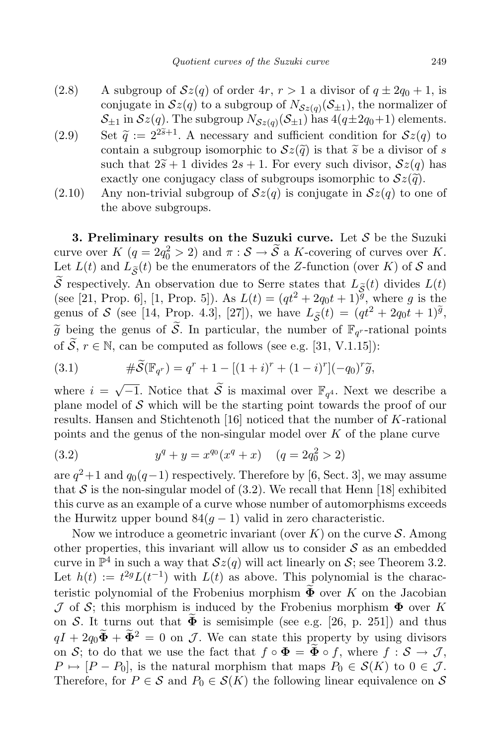- (2.8) A subgroup of  $\mathcal{S}z(q)$  of order  $4r, r > 1$  a divisor of  $q \pm 2q_0 + 1$ , is conjugate in  $\mathcal{S}z(q)$  to a subgroup of  $N_{\mathcal{S}z(q)}(\mathcal{S}_{\pm 1})$ , the normalizer of  $\mathcal{S}_{\pm 1}$  in  $\mathcal{S}z(q)$ . The subgroup  $N_{\mathcal{S}z(q)}(\mathcal{S}_{\pm 1})$  has  $4(q\pm 2q_0+1)$  elements.
- (2.9) Set  $\tilde{q} := 2^{2\tilde{s}+1}$ . A necessary and sufficient condition for  $\mathcal{S}z(q)$  to contain a subgroup isomorphic to  $\mathcal{S}z(\tilde{q})$  is that  $\tilde{s}$  be a divisor of s such that  $2\tilde{s}+1$  divides  $2s+1$ . For every such divisor,  $\mathcal{S}z(q)$  has exactly one conjugacy class of subgroups isomorphic to  $\mathcal{S}z(\tilde{q})$ .
- $(2.10)$  Any non-trivial subgroup of  $\mathcal{S}z(q)$  is conjugate in  $\mathcal{S}z(q)$  to one of the above subgroups.

3. Preliminary results on the Suzuki curve. Let  $S$  be the Suzuki curve over  $K$   $(q = 2q_0^2 > 2)$  and  $\pi : S \to \tilde{S}$  a K-covering of curves over K. Let  $L(t)$  and  $L_{\tilde{S}}(t)$  be the enumerators of the Z-function (over K) of S and  $\widetilde{\mathcal{S}}$  respectively. An observation due to Serre states that  $L_{\widetilde{\mathcal{S}}}(t)$  divides  $L(t)$ (see [21, Prop. 6], [1, Prop. 5]). As  $L(t) = (qt^2 + 2q_0t + 1)^{\tilde{g}}$ , where g is the genus of S (see [14, Prop. 4.3], [27]), we have  $L_{\tilde{S}}(t) = (qt^2 + 2q_0t + 1)\tilde{g}$ ,  $\widetilde{g}$  being the genus of  $\widetilde{S}$ . In particular, the number of  $\mathbb{F}_{q^r}$ -rational points of  $\widetilde{S}$ ,  $r \in \mathbb{N}$ , can be computed as follows (see e.g. [31, V.1.15]):

(3.1) 
$$
\#\widetilde{\mathcal{S}}(\mathbb{F}_{q^r}) = q^r + 1 - [(1+i)^r + (1-i)^r](-q_0)^r \widetilde{g},
$$

where  $i = \sqrt{-1}$ . Notice that  $\widetilde{S}$  is maximal over  $\mathbb{F}_{q^4}$ . Next we describe a plane model of  $\mathcal S$  which will be the starting point towards the proof of our results. Hansen and Stichtenoth [16] noticed that the number of K-rational points and the genus of the non-singular model over  $K$  of the plane curve

(3.2) 
$$
y^q + y = x^{q_0}(x^q + x) \quad (q = 2q_0^2 > 2)
$$

are  $q^2+1$  and  $q_0(q-1)$  respectively. Therefore by [6, Sect. 3], we may assume that S is the non-singular model of  $(3.2)$ . We recall that Henn [18] exhibited this curve as an example of a curve whose number of automorphisms exceeds the Hurwitz upper bound  $84(g-1)$  valid in zero characteristic.

Now we introduce a geometric invariant (over  $K$ ) on the curve  $S$ . Among other properties, this invariant will allow us to consider  $S$  as an embedded curve in  $\mathbb{P}^4$  in such a way that  $\mathcal{S}z(q)$  will act linearly on  $\mathcal{S}$ ; see Theorem 3.2. Let  $h(t) := t^{2g} L(t^{-1})$  with  $L(t)$  as above. This polynomial is the characteristic polynomial of the Frobenius morphism  $\Phi$  over K on the Jacobian  $J$  of S; this morphism is induced by the Frobenius morphism  $\Phi$  over K on S. It turns out that  $\Phi$  is semisimple (see e.g. [26, p. 251]) and thus  $qI + 2q_0\tilde{\Phi} + \tilde{\Phi}^2 = 0$  on J. We can state this property by using divisors on S; to do that we use the fact that  $f \circ \Phi = \widetilde{\Phi} \circ f$ , where  $f : \mathcal{S} \to \mathcal{J}$ ,  $P \mapsto [P - P_0]$ , is the natural morphism that maps  $P_0 \in \mathcal{S}(K)$  to  $0 \in \mathcal{J}$ . Therefore, for  $P \in \mathcal{S}$  and  $P_0 \in \mathcal{S}(K)$  the following linear equivalence on  $\mathcal{S}$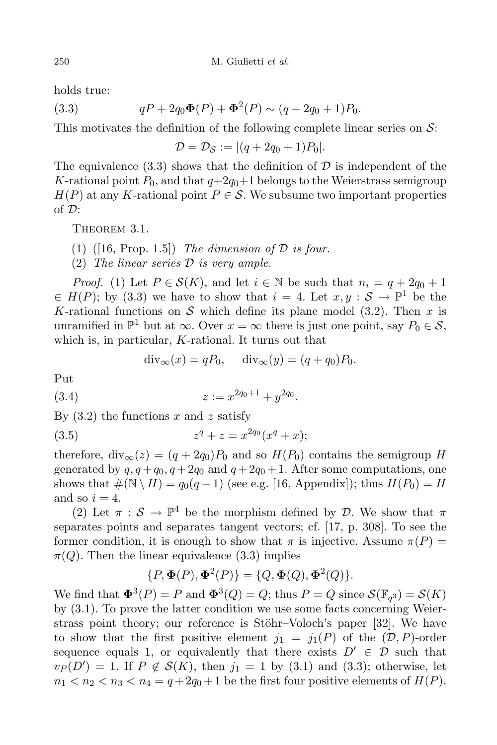holds true:

(3.3) 
$$
qP + 2q_0\Phi(P) + \Phi^2(P) \sim (q + 2q_0 + 1)P_0.
$$

This motivates the definition of the following complete linear series on  $\mathcal{S}$ :

$$
\mathcal{D} = \mathcal{D}_{\mathcal{S}} := |(q + 2q_0 + 1)P_0|.
$$

The equivalence  $(3.3)$  shows that the definition of D is independent of the K-rational point  $P_0$ , and that  $q+2q_0+1$  belongs to the Weierstrass semigroup  $H(P)$  at any K-rational point  $P \in \mathcal{S}$ . We subsume two important properties of D:

THEOREM 3.1.

(1) ([16, Prop. 1.5]) The dimension of  $\mathcal D$  is four.

(2) The linear series  $D$  is very ample.

*Proof.* (1) Let  $P \in \mathcal{S}(K)$ , and let  $i \in \mathbb{N}$  be such that  $n_i = q + 2q_0 + 1$  $\in H(P)$ ; by (3.3) we have to show that  $i = 4$ . Let  $x, y : S \to \mathbb{P}^1$  be the K-rational functions on S which define its plane model  $(3.2)$ . Then x is unramified in  $\mathbb{P}^1$  but at  $\infty$ . Over  $x = \infty$  there is just one point, say  $P_0 \in \mathcal{S}$ , which is, in particular, K-rational. It turns out that

$$
\operatorname{div}_{\infty}(x) = qP_0, \quad \operatorname{div}_{\infty}(y) = (q + q_0)P_0.
$$

Put

$$
(3.4) \t\t\t z := x^{2q_0+1} + y^{2q_0}.
$$

By  $(3.2)$  the functions x and z satisfy

(3.5) 
$$
z^q + z = x^{2q_0}(x^q + x);
$$

therefore,  $\text{div}_{\infty}(z) = (q + 2q_0)P_0$  and so  $H(P_0)$  contains the semigroup H generated by  $q, q + q_0, q + 2q_0$  and  $q + 2q_0 + 1$ . After some computations, one shows that  $\#(\mathbb{N} \setminus H) = q_0(q-1)$  (see e.g. [16, Appendix]); thus  $H(P_0) = H$ and so  $i = 4$ .

(2) Let  $\pi : \mathcal{S} \to \mathbb{P}^4$  be the morphism defined by D. We show that  $\pi$ separates points and separates tangent vectors; cf. [17, p. 308]. To see the former condition, it is enough to show that  $\pi$  is injective. Assume  $\pi(P)$  =  $\pi(Q)$ . Then the linear equivalence (3.3) implies

$$
\{P, \Phi(P), \Phi^2(P)\} = \{Q, \Phi(Q), \Phi^2(Q)\}.
$$

We find that  $\Phi^3(P) = P$  and  $\Phi^3(Q) = Q$ ; thus  $P = Q$  since  $\mathcal{S}(\mathbb{F}_{q^3}) = \mathcal{S}(K)$ by (3.1). To prove the latter condition we use some facts concerning Weierstrass point theory; our reference is Stöhr–Voloch's paper [32]. We have to show that the first positive element  $j_1 = j_1(P)$  of the  $(D, P)$ -order sequence equals 1, or equivalently that there exists  $D' \in \mathcal{D}$  such that  $v_P(D') = 1$ . If  $P \notin \mathcal{S}(K)$ , then  $j_1 = 1$  by (3.1) and (3.3); otherwise, let  $n_1 < n_2 < n_3 < n_4 = q + 2q_0 + 1$  be the first four positive elements of  $H(P)$ .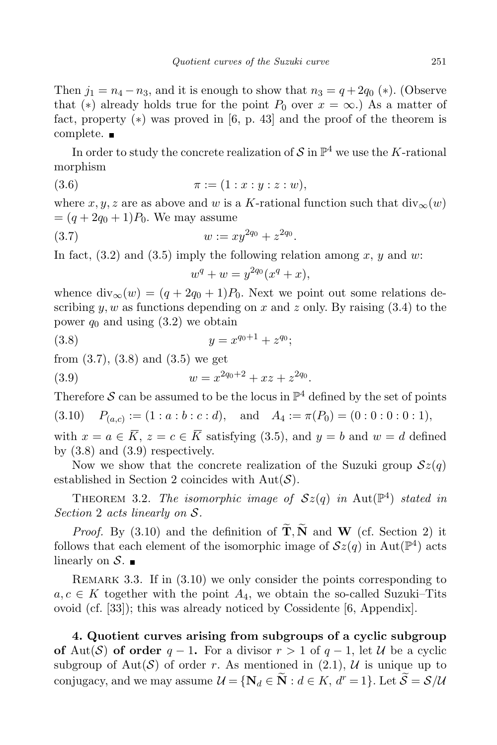Then  $j_1 = n_4 - n_3$ , and it is enough to show that  $n_3 = q + 2q_0$  (\*). (Observe that (\*) already holds true for the point  $P_0$  over  $x = \infty$ .) As a matter of fact, property (∗) was proved in [6, p. 43] and the proof of the theorem is complete.

In order to study the concrete realization of  $S$  in  $\mathbb{P}^4$  we use the K-rational morphism

(3.6) 
$$
\pi := (1 : x : y : z : w),
$$

where x, y, z are as above and w is a K-rational function such that  $div_{\infty}(w)$  $=(q + 2q_0 + 1)P_0$ . We may assume

(3.7) 
$$
w := xy^{2q_0} + z^{2q_0}.
$$

In fact,  $(3.2)$  and  $(3.5)$  imply the following relation among x, y and w:

$$
w^q + w = y^{2q_0}(x^q + x),
$$

whence  $\text{div}_{\infty}(w) = (q + 2q_0 + 1)P_0$ . Next we point out some relations describing  $y, w$  as functions depending on x and z only. By raising  $(3.4)$  to the power  $q_0$  and using  $(3.2)$  we obtain

$$
(3.8) \t\t y = x^{q_0+1} + z^{q_0};
$$

from (3.7), (3.8) and (3.5) we get

(3.9) 
$$
w = x^{2q_0+2} + xz + z^{2q_0}.
$$

Therefore  $S$  can be assumed to be the locus in  $\mathbb{P}^4$  defined by the set of points

(3.10)  $P_{(a,c)} := (1 : a : b : c : d)$ , and  $A_4 := \pi(P_0) = (0 : 0 : 0 : 0 : 1)$ ,

with  $x = a \in \overline{K}$ ,  $z = c \in \overline{K}$  satisfying (3.5), and  $y = b$  and  $w = d$  defined by  $(3.8)$  and  $(3.9)$  respectively.

Now we show that the concrete realization of the Suzuki group  $\mathcal{S}z(q)$ established in Section 2 coincides with  $Aut(\mathcal{S})$ .

THEOREM 3.2. The isomorphic image of  $Sz(q)$  in Aut $(\mathbb{P}^4)$  stated in Section 2 acts linearly on S.

*Proof.* By (3.10) and the definition of  $\widetilde{T}, \widetilde{N}$  and W (cf. Section 2) it follows that each element of the isomorphic image of  $\mathcal{S}z(q)$  in Aut $(\mathbb{P}^4)$  acts linearly on  $S$ .

REMARK 3.3. If in  $(3.10)$  we only consider the points corresponding to  $a, c \in K$  together with the point  $A_4$ , we obtain the so-called Suzuki–Tits ovoid (cf. [33]); this was already noticed by Cossidente [6, Appendix].

4. Quotient curves arising from subgroups of a cyclic subgroup of Aut(S) of order  $q-1$ . For a divisor  $r>1$  of  $q-1$ , let U be a cyclic subgroup of Aut(S) of order r. As mentioned in (2.1), U is unique up to conjugacy, and we may assume  $\mathcal{U} = \{ \mathbf{N}_d \in \widetilde{\mathbf{N}} : d \in K, d^r = 1 \}$ . Let  $\widetilde{\mathcal{S}} = \mathcal{S}/\mathcal{U}$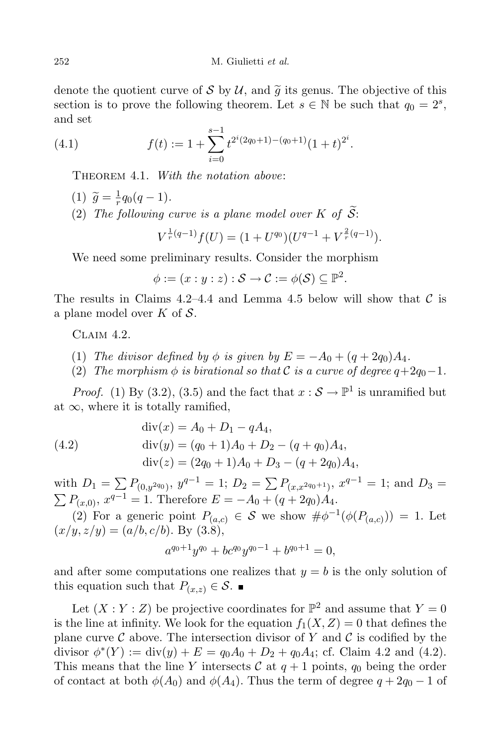denote the quotient curve of S by U, and  $\tilde{g}$  its genus. The objective of this section is to prove the following theorem. Let  $s \in \mathbb{N}$  be such that  $q_0 = 2^s$ , and set

(4.1) 
$$
f(t) := 1 + \sum_{i=0}^{s-1} t^{2^i(2q_0+1)-(q_0+1)}(1+t)^{2^i}.
$$

THEOREM 4.1. With the notation above:

- (1)  $\widetilde{g} = \frac{1}{r} q_0 (q 1).$ r
- (2) The following curve is a plane model over K of  $\mathcal{S}$ :

$$
V^{\frac{1}{r}(q-1)}f(U) = (1 + U^{q_0})(U^{q-1} + V^{\frac{2}{r}(q-1)}).
$$

We need some preliminary results. Consider the morphism

$$
\phi := (x : y : z) : \mathcal{S} \to \mathcal{C} := \phi(\mathcal{S}) \subseteq \mathbb{P}^2.
$$

The results in Claims 4.2–4.4 and Lemma 4.5 below will show that  $\mathcal C$  is a plane model over  $K$  of  $S$ .

Claim 4.2.

- (1) The divisor defined by  $\phi$  is given by  $E = -A_0 + (q + 2q_0)A_4$ .
- (2) The morphism  $\phi$  is birational so that C is a curve of degree  $q+2q_0-1$ .

*Proof.* (1) By (3.2), (3.5) and the fact that  $x : \mathcal{S} \to \mathbb{P}^1$  is unramified but at  $\infty$ , where it is totally ramified,

(4.2)  
\n
$$
\begin{aligned}\n\text{div}(x) &= A_0 + D_1 - qA_4, \\
\text{div}(y) &= (q_0 + 1)A_0 + D_2 - (q + q_0)A_4, \\
\text{div}(z) &= (2q_0 + 1)A_0 + D_3 - (q + 2q_0)A_4,\n\end{aligned}
$$

with  $D_1 = \sum P_{(0,y^{2q_0})}, y^{q-1} = 1; D_2 = \sum P_{(x,x^{2q_0+1})}, x^{q-1} = 1;$  and  $D_3 =$  $\sum P_{(x,0)}$ ,  $x^{q-1} = 1$ . Therefore  $E = -A_0 + (q + 2q_0)A_4$ .

(2) For a generic point  $P_{(a,c)} \in \mathcal{S}$  we show  $\#\phi^{-1}(\phi(P_{(a,c)})) = 1$ . Let  $(x/y, z/y) = (a/b, c/b)$ . By  $(3.8)$ ,

$$
a^{q_0+1}y^{q_0} + bc^{q_0}y^{q_0-1} + b^{q_0+1} = 0,
$$

and after some computations one realizes that  $y = b$  is the only solution of this equation such that  $P_{(x,z)} \in \mathcal{S}$ .

Let  $(X:Y:Z)$  be projective coordinates for  $\mathbb{P}^2$  and assume that  $Y=0$ is the line at infinity. We look for the equation  $f_1(X, Z) = 0$  that defines the plane curve  $\mathcal C$  above. The intersection divisor of Y and  $\mathcal C$  is codified by the divisor  $\phi^*(Y) := \text{div}(y) + E = q_0 A_0 + D_2 + q_0 A_4$ ; cf. Claim 4.2 and (4.2). This means that the line Y intersects C at  $q + 1$  points,  $q_0$  being the order of contact at both  $\phi(A_0)$  and  $\phi(A_4)$ . Thus the term of degree  $q + 2q_0 - 1$  of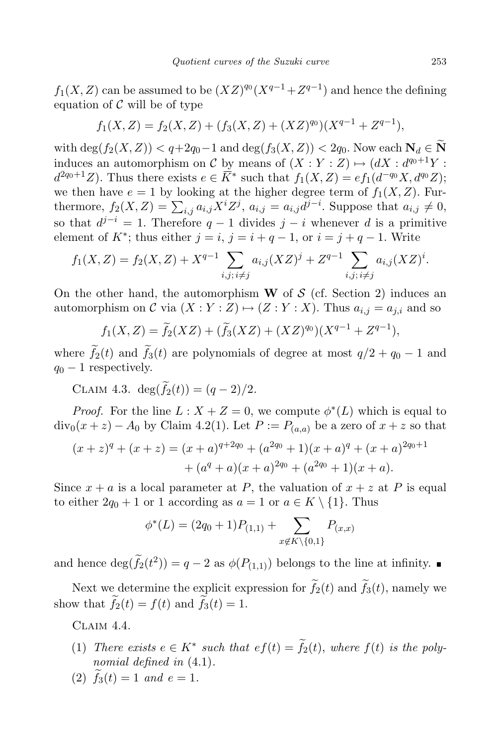$f_1(X, Z)$  can be assumed to be  $(XZ)^{q_0}(X^{q-1} + Z^{q-1})$  and hence the defining equation of  $\mathcal C$  will be of type

$$
f_1(X,Z) = f_2(X,Z) + (f_3(X,Z) + (XZ)^{q_0})(X^{q-1} + Z^{q-1}),
$$

with  $\deg(f_2(X, Z)) < q+2q_0-1$  and  $\deg(f_3(X, Z)) < 2q_0$ . Now each  $\mathbf{N}_d \in \widetilde{\mathbf{N}}$ induces an automorphism on C by means of  $(X:Y:Z) \mapsto (dX: d^{q_0+1}Y:Z)$  $d^{2q_0+1}Z$ ). Thus there exists  $e \in \overline{K}^*$  such that  $f_1(X, Z) = ef_1(d^{-q_0}X, d^{q_0}Z);$ we then have  $e = 1$  by looking at the higher degree term of  $f_1(X, Z)$ . Furthermore,  $f_2(X, Z) = \sum_{i,j} a_{i,j} X^i Z^j$ ,  $a_{i,j} = a_{i,j} d^{j-i}$ . Suppose that  $a_{i,j} \neq 0$ , so that  $d^{j-i} = 1$ . Therefore  $q-1$  divides  $j-i$  whenever d is a primitive element of  $K^*$ ; thus either  $j = i$ ,  $j = i + q - 1$ , or  $i = j + q - 1$ . Write

$$
f_1(X, Z) = f_2(X, Z) + X^{q-1} \sum_{i,j; i \neq j} a_{i,j}(XZ)^j + Z^{q-1} \sum_{i,j; i \neq j} a_{i,j}(XZ)^i.
$$

On the other hand, the automorphism  $W$  of  $S$  (cf. Section 2) induces an automorphism on C via  $(X : Y : Z) \mapsto (Z : Y : X)$ . Thus  $a_{i,j} = a_{j,i}$  and so

$$
f_1(X,Z) = \tilde{f}_2(XZ) + (\tilde{f}_3(XZ) + (XZ)^{q_0})(X^{q-1} + Z^{q-1}),
$$

where  $\tilde{f}_2(t)$  and  $\tilde{f}_3(t)$  are polynomials of degree at most  $q/2 + q_0 - 1$  and  $q_0 - 1$  respectively.

CLAIM 4.3. deg $(\widetilde{f}_2(t)) = (q-2)/2$ .

*Proof.* For the line  $L: X + Z = 0$ , we compute  $\phi^*(L)$  which is equal to  $div_0(x+z) - A_0$  by Claim 4.2(1). Let  $P := P_{(a,a)}$  be a zero of  $x+z$  so that

$$
(x+z)^{q} + (x+z) = (x+a)^{q+2q_0} + (a^{2q_0} + 1)(x+a)^{q} + (x+a)^{2q_0+1} + (a^{q} + a)(x+a)^{2q_0} + (a^{2q_0} + 1)(x+a).
$$

Since  $x + a$  is a local parameter at P, the valuation of  $x + z$  at P is equal to either  $2q_0 + 1$  or 1 according as  $a = 1$  or  $a \in K \setminus \{1\}$ . Thus

$$
\phi^*(L) = (2q_0 + 1)P_{(1,1)} + \sum_{x \notin K \setminus \{0,1\}} P_{(x,x)}
$$

and hence  $\deg(\tilde{f}_2(t^2)) = q - 2$  as  $\phi(P_{(1,1)})$  belongs to the line at infinity.

Next we determine the explicit expression for  $\tilde{f}_2(t)$  and  $\tilde{f}_3(t)$ , namely we show that  $\widetilde{f}_2(t) = f(t)$  and  $\widetilde{f}_3(t) = 1$ .

Claim 4.4.

- (1) There exists  $e \in K^*$  such that  $ef(t) = f_2(t)$ , where  $f(t)$  is the polynomial defined in  $(4.1)$ .
- (2)  $\tilde{f}_3(t) = 1$  and  $e = 1$ .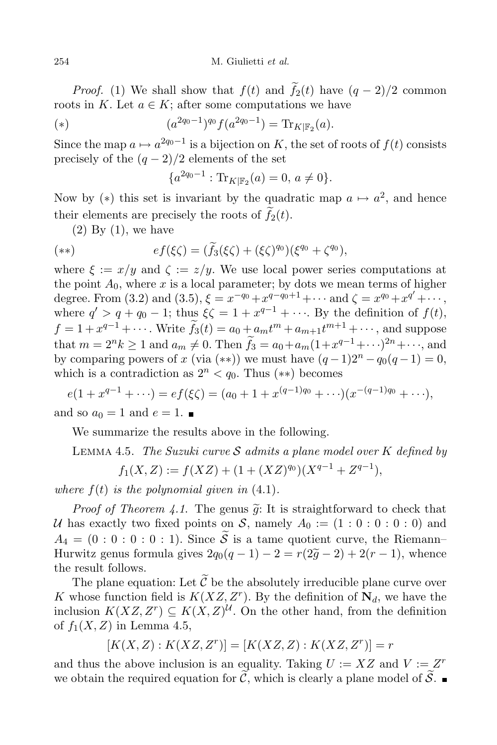*Proof.* (1) We shall show that  $f(t)$  and  $\tilde{f}_2(t)$  have  $(q-2)/2$  common roots in K. Let  $a \in K$ ; after some computations we have

(\*) 
$$
(a^{2q_0-1})^{q_0} f(a^{2q_0-1}) = \text{Tr}_{K|\mathbb{F}_2}(a).
$$

Since the map  $a \mapsto a^{2q_0-1}$  is a bijection on K, the set of roots of  $f(t)$  consists precisely of the  $(q-2)/2$  elements of the set

$$
\{a^{2q_0-1} : \text{Tr}_{K|\mathbb{F}_2}(a) = 0, \, a \neq 0\}.
$$

Now by (\*) this set is invariant by the quadratic map  $a \mapsto a^2$ , and hence their elements are precisely the roots of  $\tilde{f}_2(t)$ .

 $(2)$  By  $(1)$ , we have

$$
(**)\qquad \qquad ef(\xi\zeta)=(\tilde{f}_3(\xi\zeta)+(\xi\zeta)^{q_0})(\xi^{q_0}+\zeta^{q_0}),
$$

where  $\xi := x/y$  and  $\zeta := z/y$ . We use local power series computations at the point  $A_0$ , where x is a local parameter; by dots we mean terms of higher degree. From (3.2) and (3.5),  $\xi = x^{-q_0} + x^{q-q_0+1} + \cdots$  and  $\zeta = x^{q_0} + x^{q'} + \cdots$ , where  $q' > q + q_0 - 1$ ; thus  $\xi \zeta = 1 + x^{q-1} + \cdots$ . By the definition of  $f(t)$ ,  $f = 1 + x^{q-1} + \cdots$ . Write  $f_3(t) = a_0 + a_m t^m + a_{m+1} t^{m+1} + \cdots$ , and suppose that  $m = 2^n k \ge 1$  and  $a_m \ne 0$ . Then  $f_3 = a_0 + a_m(1 + x^{q-1} + \cdots)^{2n} + \cdots$ , and by comparing powers of x (via (\*\*)) we must have  $(q-1)2^{n} - q_0(q-1) = 0$ , which is a contradiction as  $2^n < q_0$ . Thus  $(**)$  becomes

 $e(1+x^{q-1}+\cdots)=ef(\xi\zeta)=(a_0+1+x^{(q-1)q_0}+\cdots)(x^{-(q-1)q_0}+\cdots),$ and so  $a_0 = 1$  and  $e = 1$ .

We summarize the results above in the following.

LEMMA 4.5. The Suzuki curve S admits a plane model over K defined by

$$
f_1(X, Z) := f(XZ) + (1 + (XZ)^{q_0})(X^{q-1} + Z^{q-1}),
$$

where  $f(t)$  is the polynomial given in  $(4.1)$ .

*Proof of Theorem 4.1.* The genus  $\tilde{g}$ : It is straightforward to check that U has exactly two fixed points on S, namely  $A_0 := (1 : 0 : 0 : 0 : 0)$  and  $A_4 = (0 : 0 : 0 : 0 : 1)$ . Since  $\widetilde{S}$  is a tame quotient curve, the Riemann– Hurwitz genus formula gives  $2q_0(q-1) - 2 = r(2\tilde{g}-2) + 2(r-1)$ , whence the result follows.

The plane equation: Let  $\tilde{\mathcal{C}}$  be the absolutely irreducible plane curve over K whose function field is  $K(XZ, Z<sup>r</sup>)$ . By the definition of  $\mathbf{N}_d$ , we have the inclusion  $K(XZ, Z^r) \subseteq K(X, Z)^{\mathcal{U}}$ . On the other hand, from the definition of  $f_1(X, Z)$  in Lemma 4.5,

$$
[K(X, Z) : K(XZ, Zr)] = [K(XZ, Z) : K(XZ, Zr)] = r
$$

and thus the above inclusion is an equality. Taking  $U := XZ$  and  $V := Z^r$ we obtain the required equation for  $\widetilde{C}$ , which is clearly a plane model of  $\widetilde{S}$ .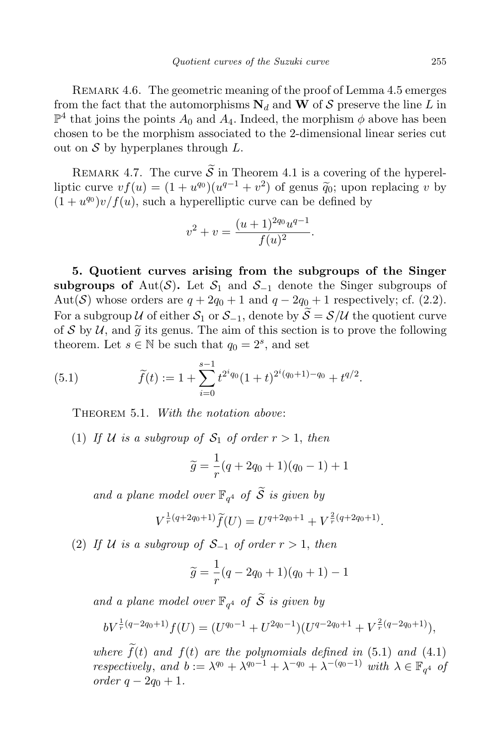REMARK 4.6. The geometric meaning of the proof of Lemma 4.5 emerges from the fact that the automorphisms  $N_d$  and W of S preserve the line L in  $\mathbb{P}^4$  that joins the points  $A_0$  and  $A_4$ . Indeed, the morphism  $\phi$  above has been chosen to be the morphism associated to the 2-dimensional linear series cut out on  $S$  by hyperplanes through  $L$ .

REMARK 4.7. The curve  $\widetilde{\mathcal{S}}$  in Theorem 4.1 is a covering of the hyperelliptic curve  $vf(u) = (1 + u^{q_0})(u^{q-1} + v^2)$  of genus  $\widetilde{q}_0$ ; upon replacing v by  $(1 + u^{q_0})v/f(u)$ , such a hyperelliptic curve can be defined by

$$
v^2 + v = \frac{(u+1)^{2q_0}u^{q-1}}{f(u)^2}.
$$

5. Quotient curves arising from the subgroups of the Singer subgroups of Aut(S). Let  $S_1$  and  $S_{-1}$  denote the Singer subgroups of Aut(S) whose orders are  $q + 2q_0 + 1$  and  $q - 2q_0 + 1$  respectively; cf. (2.2). For a subgroup U of either  $S_1$  or  $S_{-1}$ , denote by  $\widetilde{S} = \mathcal{S}/\mathcal{U}$  the quotient curve of S by U, and  $\tilde{g}$  its genus. The aim of this section is to prove the following theorem. Let  $s \in \mathbb{N}$  be such that  $q_0 = 2^s$ , and set

(5.1) 
$$
\widetilde{f}(t) := 1 + \sum_{i=0}^{s-1} t^{2^i q_0} (1+t)^{2^i (q_0+1) - q_0} + t^{q/2}.
$$

THEOREM 5.1. With the notation above:

(1) If U is a subgroup of  $S_1$  of order  $r > 1$ , then

$$
\widetilde{g} = \frac{1}{r}(q + 2q_0 + 1)(q_0 - 1) + 1
$$

and a plane model over  $\mathbb{F}_{q^4}$  of  $\widetilde{S}$  is given by

$$
V^{\frac{1}{r}(q+2q_0+1)}\widetilde{f}(U) = U^{q+2q_0+1} + V^{\frac{2}{r}(q+2q_0+1)}.
$$

(2) If U is a subgroup of  $S_{-1}$  of order  $r > 1$ , then

$$
\widetilde{g} = \frac{1}{r}(q - 2q_0 + 1)(q_0 + 1) - 1
$$

and a plane model over  $\mathbb{F}_{q^4}$  of  $\widetilde{S}$  is given by

$$
bV^{\frac{1}{r}(q-2q_0+1)}f(U) = (U^{q_0-1} + U^{2q_0-1})(U^{q-2q_0+1} + V^{\frac{2}{r}(q-2q_0+1)}),
$$

where  $\tilde{f}(t)$  and  $f(t)$  are the polynomials defined in (5.1) and (4.1) respectively, and  $b := \lambda^{q_0} + \lambda^{q_0-1} + \lambda^{-q_0} + \lambda^{-(q_0-1)}$  with  $\lambda \in \mathbb{F}_{q^4}$  of *order*  $q − 2q_0 + 1$ .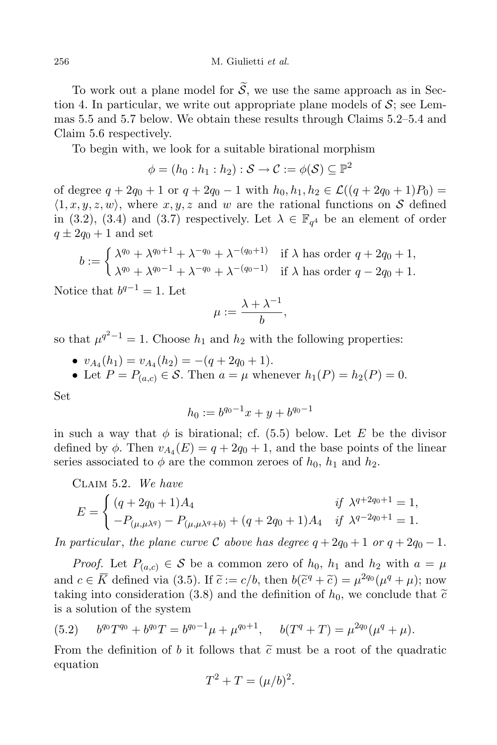To work out a plane model for  $\widetilde{S}$ , we use the same approach as in Section 4. In particular, we write out appropriate plane models of  $S$ ; see Lemmas 5.5 and 5.7 below. We obtain these results through Claims 5.2–5.4 and Claim 5.6 respectively.

To begin with, we look for a suitable birational morphism

$$
\phi=(h_0:h_1:h_2):\mathcal{S}\rightarrow\mathcal{C}:=\phi(\mathcal{S})\subseteq\mathbb{P}^2
$$

of degree  $q + 2q_0 + 1$  or  $q + 2q_0 - 1$  with  $h_0, h_1, h_2 \in \mathcal{L}((q + 2q_0 + 1)P_0)$  $\langle 1, x, y, z, w \rangle$ , where  $x, y, z$  and w are the rational functions on S defined in (3.2), (3.4) and (3.7) respectively. Let  $\lambda \in \mathbb{F}_{q^4}$  be an element of order  $q \pm 2q_0 + 1$  and set

$$
b := \begin{cases} \lambda^{q_0} + \lambda^{q_0+1} + \lambda^{-q_0} + \lambda^{-(q_0+1)} & \text{if } \lambda \text{ has order } q + 2q_0 + 1, \\ \lambda^{q_0} + \lambda^{q_0-1} + \lambda^{-q_0} + \lambda^{-(q_0-1)} & \text{if } \lambda \text{ has order } q - 2q_0 + 1. \end{cases}
$$

Notice that  $b^{q-1} = 1$ . Let

$$
\mu := \frac{\lambda + \lambda^{-1}}{b},
$$

so that  $\mu^{q^2-1} = 1$ . Choose  $h_1$  and  $h_2$  with the following properties:

- $v_{A_4}(h_1) = v_{A_4}(h_2) = -(q + 2q_0 + 1).$
- Let  $P = P_{(a,c)} \in \mathcal{S}$ . Then  $a = \mu$  whenever  $h_1(P) = h_2(P) = 0$ .

Set

$$
h_0 := b^{q_0 - 1}x + y + b^{q_0 - 1}
$$

in such a way that  $\phi$  is birational; cf. (5.5) below. Let E be the divisor defined by  $\phi$ . Then  $v_{A_4}(E) = q + 2q_0 + 1$ , and the base points of the linear series associated to  $\phi$  are the common zeroes of  $h_0$ ,  $h_1$  and  $h_2$ .

CLAIM 5.2. We have  
\n
$$
E = \begin{cases} (q + 2q_0 + 1)A_4 & \text{if } \lambda^{q+2q_0+1} = 1, \\ -P_{(\mu,\mu\lambda^q)} - P_{(\mu,\mu\lambda^q+b)} + (q + 2q_0 + 1)A_4 & \text{if } \lambda^{q-2q_0+1} = 1. \end{cases}
$$

In particular, the plane curve C above has degree  $q + 2q_0 + 1$  or  $q + 2q_0 - 1$ .

*Proof.* Let  $P_{(a,c)} \in \mathcal{S}$  be a common zero of  $h_0$ ,  $h_1$  and  $h_2$  with  $a = \mu$ and  $c \in \overline{K}$  defined via (3.5). If  $\tilde{c} := c/b$ , then  $b(\tilde{c}^q + \tilde{c}) = \mu^{2q_0}(\mu^q + \mu)$ ; now taking into consideration (3.8) and the definition of  $h_0$ , we conclude that  $\tilde{c}$ is a solution of the system

(5.2) 
$$
b^{q_0}T^{q_0} + b^{q_0}T = b^{q_0-1}\mu + \mu^{q_0+1}, \quad b(T^q + T) = \mu^{2q_0}(\mu^q + \mu).
$$

From the definition of b it follows that  $\tilde{c}$  must be a root of the quadratic equation

$$
T^2 + T = (\mu/b)^2.
$$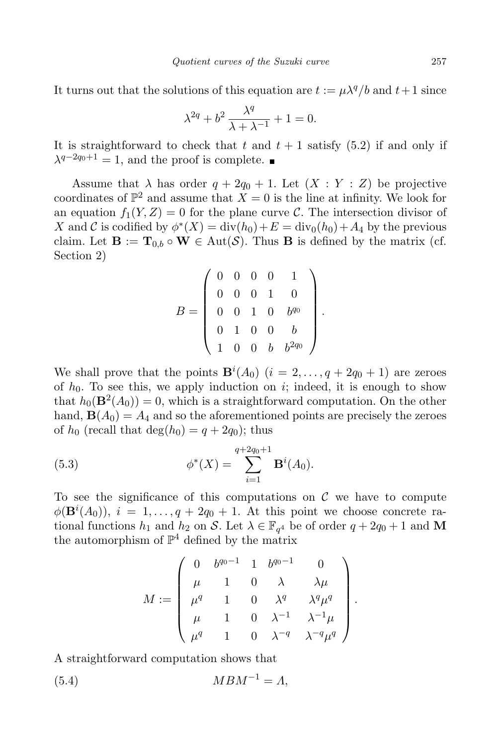It turns out that the solutions of this equation are  $t := \mu \lambda^q/b$  and  $t+1$  since

$$
\lambda^{2q} + b^2 \frac{\lambda^q}{\lambda + \lambda^{-1}} + 1 = 0.
$$

It is straightforward to check that t and  $t + 1$  satisfy (5.2) if and only if  $\lambda^{q-2q_0+1} = 1$ , and the proof is complete.

Assume that  $\lambda$  has order  $q + 2q_0 + 1$ . Let  $(X : Y : Z)$  be projective coordinates of  $\mathbb{P}^2$  and assume that  $X = 0$  is the line at infinity. We look for an equation  $f_1(Y, Z) = 0$  for the plane curve C. The intersection divisor of X and C is codified by  $\phi^*(X) = \text{div}_0(h_0) + E = \text{div}_0(h_0) + A_4$  by the previous claim. Let  $\mathbf{B} := \mathbf{T}_{0,b} \circ \mathbf{W} \in \text{Aut}(\mathcal{S})$ . Thus **B** is defined by the matrix (cf. Section 2)

$$
B = \left(\begin{array}{cccc} 0 & 0 & 0 & 0 & 1 \\ 0 & 0 & 0 & 1 & 0 \\ 0 & 0 & 1 & 0 & b^{q_0} \\ 0 & 1 & 0 & 0 & b \\ 1 & 0 & 0 & b & b^{2q_0} \end{array}\right)
$$

.

We shall prove that the points  $\mathbf{B}^i(A_0)$   $(i = 2, \ldots, q + 2q_0 + 1)$  are zeroes of  $h_0$ . To see this, we apply induction on i; indeed, it is enough to show that  $h_0(\mathbf{B}^2(A_0)) = 0$ , which is a straightforward computation. On the other hand,  $\mathbf{B}(A_0) = A_4$  and so the aforementioned points are precisely the zeroes of  $h_0$  (recall that  $\deg(h_0) = q + 2q_0$ ); thus

(5.3) 
$$
\phi^*(X) = \sum_{i=1}^{q+2q_0+1} \mathbf{B}^i(A_0).
$$

To see the significance of this computations on  $\mathcal C$  we have to compute  $\phi(\mathbf{B}^i(A_0)), i = 1, \ldots, q + 2q_0 + 1$ . At this point we choose concrete rational functions  $h_1$  and  $h_2$  on S. Let  $\lambda \in \mathbb{F}_{q^4}$  be of order  $q + 2q_0 + 1$  and M the automorphism of  $\mathbb{P}^4$  defined by the matrix

$$
M:=\left( \begin{array}{cccc} 0& b^{q_0-1} & 1 & b^{q_0-1} & 0 \\ \mu & 1 & 0 & \lambda & \lambda \mu \\ \mu^q & 1 & 0 & \lambda^q & \lambda^q \mu^q \\ \mu & 1 & 0 & \lambda^{-1} & \lambda^{-1} \mu \\ \mu^q & 1 & 0 & \lambda^{-q} & \lambda^{-q} \mu^q \end{array} \right).
$$

A straightforward computation shows that

(5.4)  $MBM^{-1} = \Lambda,$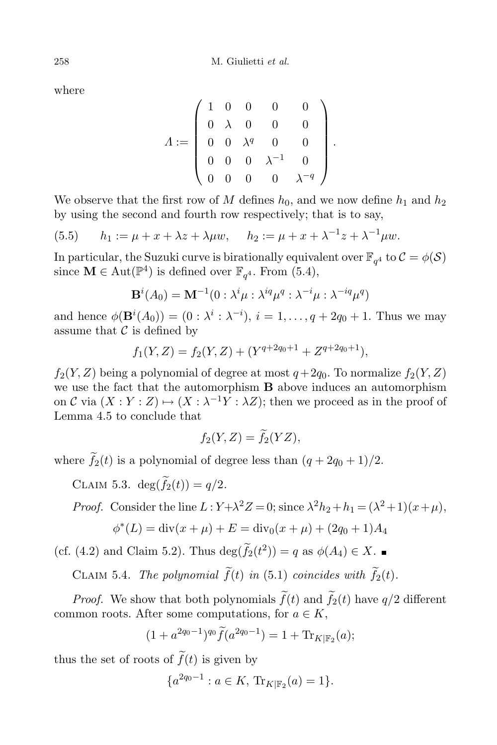where

$$
A := \left(\begin{array}{cccccc} 1 & 0 & 0 & 0 & 0 \\ 0 & \lambda & 0 & 0 & 0 \\ 0 & 0 & \lambda^q & 0 & 0 \\ 0 & 0 & 0 & \lambda^{-1} & 0 \\ 0 & 0 & 0 & 0 & \lambda^{-q} \end{array}\right).
$$

We observe that the first row of M defines  $h_0$ , and we now define  $h_1$  and  $h_2$ by using the second and fourth row respectively; that is to say,

(5.5) 
$$
h_1 := \mu + x + \lambda z + \lambda \mu w, \quad h_2 := \mu + x + \lambda^{-1} z + \lambda^{-1} \mu w.
$$

In particular, the Suzuki curve is birationally equivalent over  $\mathbb{F}_{q^4}$  to  $\mathcal{C} = \phi(\mathcal{S})$ since  $\mathbf{M} \in \text{Aut}(\mathbb{P}^4)$  is defined over  $\mathbb{F}_{q^4}$ . From (5.4),

$$
\mathbf{B}^{i}(A_0) = \mathbf{M}^{-1}(0 : \lambda^{i} \mu : \lambda^{iq} \mu^{q} : \lambda^{-i} \mu : \lambda^{-iq} \mu^{q})
$$

and hence  $\phi(\mathbf{B}^i(A_0)) = (0 : \lambda^i : \lambda^{-i}), i = 1, ..., q + 2q_0 + 1$ . Thus we may assume that  $\mathcal C$  is defined by

$$
f_1(Y,Z) = f_2(Y,Z) + (Y^{q+2q_0+1} + Z^{q+2q_0+1}),
$$

 $f_2(Y, Z)$  being a polynomial of degree at most  $q+2q_0$ . To normalize  $f_2(Y, Z)$ we use the fact that the automorphism B above induces an automorphism on C via  $(X:Y:Z) \mapsto (X:\lambda^{-1}Y:\lambda Z)$ ; then we proceed as in the proof of Lemma 4.5 to conclude that

$$
f_2(Y,Z) = \tilde{f}_2(YZ),
$$

where  $\tilde{f}_2(t)$  is a polynomial of degree less than  $(q + 2q_0 + 1)/2$ .

CLAIM 5.3. deg $(\widetilde{f}_2(t)) = q/2$ .

*Proof.* Consider the line  $L: Y + \lambda^2 Z = 0$ ; since  $\lambda^2 h_2 + h_1 = (\lambda^2 + 1)(x + \mu)$ ,

$$
\phi^*(L) = \text{div}(x + \mu) + E = \text{div}_0(x + \mu) + (2q_0 + 1)A_4
$$

(cf. (4.2) and Claim 5.2). Thus  $\deg(f_2(t^2)) = q$  as  $\phi(A_4) \in X$ .

CLAIM 5.4. The polynomial  $\tilde{f}(t)$  in (5.1) coincides with  $\tilde{f}_2(t)$ .

*Proof.* We show that both polynomials  $\tilde{f}(t)$  and  $\tilde{f}_2(t)$  have  $q/2$  different common roots. After some computations, for  $a \in K$ ,

$$
(1 + a^{2q_0 - 1})^{q_0} \tilde{f}(a^{2q_0 - 1}) = 1 + \text{Tr}_{K|\mathbb{F}_2}(a);
$$

thus the set of roots of  $\tilde{f}(t)$  is given by

$$
\{a^{2q_0-1} : a \in K, \, \text{Tr}_{K|\mathbb{F}_2}(a) = 1\}.
$$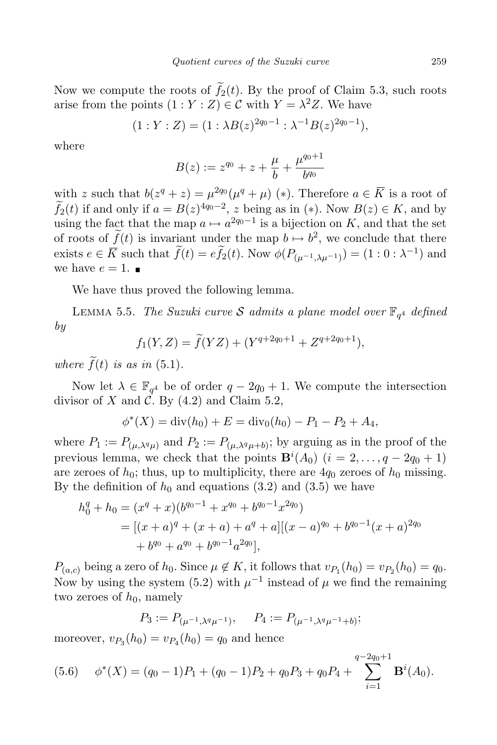Now we compute the roots of  $\tilde{f}_2(t)$ . By the proof of Claim 5.3, such roots arise from the points  $(1:Y:Z) \in \mathcal{C}$  with  $Y = \lambda^2 Z$ . We have

$$
(1:Y:Z) = (1:\lambda B(z)^{2q_0-1}:\lambda^{-1}B(z)^{2q_0-1}),
$$

where

$$
B(z) := z^{q_0} + z + \frac{\mu}{b} + \frac{\mu^{q_0+1}}{b^{q_0}}
$$

with z such that  $b(z^q + z) = \mu^{2q_0}(\mu^q + \mu)$  (\*). Therefore  $a \in \overline{K}$  is a root of  $f_2(t)$  if and only if  $a = B(z)^{4q_0-2}$ , z being as in (\*). Now  $B(z) \in K$ , and by using the fact that the map  $a \mapsto a^{2q_0-1}$  is a bijection on K, and that the set of roots of  $f(t)$  is invariant under the map  $b \mapsto b^2$ , we conclude that there exists  $e \in \overline{K}$  such that  $f(t) = ef_2(t)$ . Now  $\phi(P_{(\mu^{-1}, \lambda \mu^{-1})}) = (1 : 0 : \lambda^{-1})$  and we have  $e = 1$ .

We have thus proved the following lemma.

LEMMA 5.5. The Suzuki curve S admits a plane model over  $\mathbb{F}_{q^4}$  defined by

$$
f_1(Y,Z) = \widetilde{f}(YZ) + (Y^{q+2q_0+1} + Z^{q+2q_0+1}),
$$

where  $\tilde{f}(t)$  is as in (5.1).

Now let  $\lambda \in \mathbb{F}_{q^4}$  be of order  $q - 2q_0 + 1$ . We compute the intersection divisor of X and  $\mathcal{C}$ . By (4.2) and Claim 5.2,

$$
\phi^*(X) = \text{div}(h_0) + E = \text{div}_0(h_0) - P_1 - P_2 + A_4,
$$

where  $P_1 := P_{(\mu,\lambda^q\mu)}$  and  $P_2 := P_{(\mu,\lambda^q\mu+b)}$ ; by arguing as in the proof of the previous lemma, we check that the points  $\mathbf{B}^i(A_0)$   $(i = 2, \ldots, q - 2q_0 + 1)$ are zeroes of  $h_0$ ; thus, up to multiplicity, there are  $4q_0$  zeroes of  $h_0$  missing. By the definition of  $h_0$  and equations (3.2) and (3.5) we have

$$
h_0^q + h_0 = (x^q + x)(b^{q_0 - 1} + x^{q_0} + b^{q_0 - 1}x^{2q_0})
$$
  
= 
$$
[(x + a)^q + (x + a) + a^q + a][(x - a)^{q_0} + b^{q_0 - 1}(x + a)^{2q_0}
$$
  
+ 
$$
b^{q_0} + a^{q_0} + b^{q_0 - 1}a^{2q_0}],
$$

 $P_{(a,c)}$  being a zero of  $h_0$ . Since  $\mu \notin K$ , it follows that  $v_{P_1}(h_0) = v_{P_2}(h_0) = q_0$ . Now by using the system (5.2) with  $\mu^{-1}$  instead of  $\mu$  we find the remaining two zeroes of  $h_0$ , namely

$$
P_3 := P_{(\mu^{-1}, \lambda^q \mu^{-1})}, \quad P_4 := P_{(\mu^{-1}, \lambda^q \mu^{-1} + b)};
$$

moreover,  $v_{P_3}(h_0) = v_{P_4}(h_0) = q_0$  and hence

(5.6) 
$$
\phi^*(X) = (q_0 - 1)P_1 + (q_0 - 1)P_2 + q_0P_3 + q_0P_4 + \sum_{i=1}^{q-2q_0+1} \mathbf{B}^i(A_0).
$$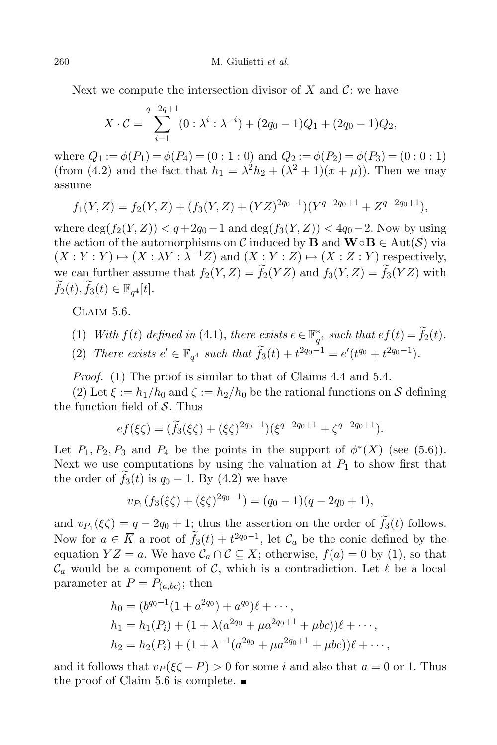Next we compute the intersection divisor of X and  $\mathcal{C}$ : we have

$$
X \cdot C = \sum_{i=1}^{q-2q+1} (0 : \lambda^i : \lambda^{-i}) + (2q_0 - 1)Q_1 + (2q_0 - 1)Q_2,
$$

where  $Q_1 := \phi(P_1) = \phi(P_4) = (0:1:0)$  and  $Q_2 := \phi(P_2) = \phi(P_3) = (0:0:1)$ (from (4.2) and the fact that  $h_1 = \lambda^2 h_2 + (\lambda^2 + 1)(x + \mu)$ ). Then we may assume

$$
f_1(Y,Z) = f_2(Y,Z) + (f_3(Y,Z) + (YZ)^{2q_0-1})(Y^{q-2q_0+1} + Z^{q-2q_0+1}),
$$

where  $deg(f_2(Y, Z)) < q+2q_0-1$  and  $deg(f_3(Y, Z)) < 4q_0-2$ . Now by using the action of the automorphisms on C induced by **B** and  $\mathbf{W} \circ \mathbf{B} \in \text{Aut}(\mathcal{S})$  via  $(X:Y:Y) \mapsto (X: \lambda Y: \lambda^{-1}Z)$  and  $(X:Y:Z) \mapsto (X:Z:Y)$  respectively, we can further assume that  $f_2(Y, Z) = \widetilde{f}_2(YZ)$  and  $f_3(Y, Z) = \widetilde{f}_3(YZ)$  with  $\widetilde{f}_2(t), \widetilde{f}_3(t) \in \mathbb{F}_{q^4}[t].$ 

CLAIM 5.6.

(1) With  $f(t)$  defined in (4.1), there exists  $e \in \mathbb{F}_{q^4}^*$  such that  $ef(t) = \tilde{f}_2(t)$ .

(2) There exists  $e' \in \mathbb{F}_{q^4}$  such that  $\tilde{f}_3(t) + t^{2q_0-1} = e'(t^{q_0} + t^{2q_0-1}).$ 

Proof. (1) The proof is similar to that of Claims 4.4 and 5.4.

(2) Let  $\xi := h_1/h_0$  and  $\zeta := h_2/h_0$  be the rational functions on S defining the function field of  $S$ . Thus

$$
ef(\xi\zeta) = (\widetilde{f}_3(\xi\zeta) + (\xi\zeta)^{2q_0-1})(\xi^{q-2q_0+1} + \zeta^{q-2q_0+1}).
$$

Let  $P_1, P_2, P_3$  and  $P_4$  be the points in the support of  $\phi^*(X)$  (see (5.6)). Next we use computations by using the valuation at  $P_1$  to show first that the order of  $f_3(t)$  is  $q_0 - 1$ . By (4.2) we have

$$
v_{P_1}(f_3(\xi\zeta) + (\xi\zeta)^{2q_0-1}) = (q_0-1)(q-2q_0+1),
$$

and  $v_{P_1}(\xi \zeta) = q - 2q_0 + 1$ ; thus the assertion on the order of  $f_3(t)$  follows. Now for  $a \in \overline{K}$  a root of  $f_3(t) + t^{2q_0-1}$ , let  $\mathcal{C}_a$  be the conic defined by the equation  $YZ = a$ . We have  $\mathcal{C}_a \cap \mathcal{C} \subseteq X$ ; otherwise,  $f(a) = 0$  by (1), so that  $\mathcal{C}_a$  would be a component of  $\mathcal{C}$ , which is a contradiction. Let  $\ell$  be a local parameter at  $P = P_{(a, bc)}$ ; then

$$
h_0 = (b^{q_0-1}(1+a^{2q_0})+a^{q_0})\ell+\cdots,
$$
  
\n
$$
h_1 = h_1(P_i) + (1+\lambda(a^{2q_0}+\mu a^{2q_0+1}+\mu bc))\ell+\cdots,
$$
  
\n
$$
h_2 = h_2(P_i) + (1+\lambda^{-1}(a^{2q_0}+\mu a^{2q_0+1}+\mu bc))\ell+\cdots,
$$

and it follows that  $v_P(\xi \zeta - P) > 0$  for some i and also that  $a = 0$  or 1. Thus the proof of Claim 5.6 is complete.  $\blacksquare$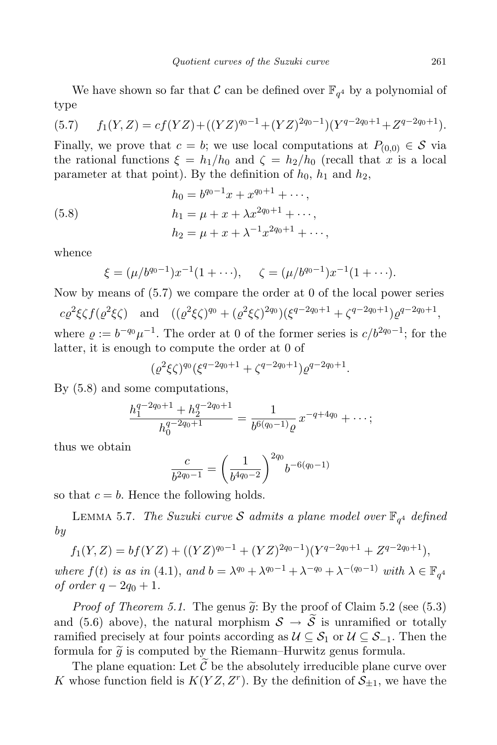We have shown so far that  $\mathcal C$  can be defined over  $\mathbb F_{q^4}$  by a polynomial of type

(5.7) 
$$
f_1(Y,Z) = cf(YZ) + ((YZ)^{q_0-1} + (YZ)^{2q_0-1})(Y^{q-2q_0+1} + Z^{q-2q_0+1}).
$$

Finally, we prove that  $c = b$ ; we use local computations at  $P_{(0,0)} \in \mathcal{S}$  via the rational functions  $\xi = h_1/h_0$  and  $\zeta = h_2/h_0$  (recall that x is a local parameter at that point). By the definition of  $h_0$ ,  $h_1$  and  $h_2$ ,

(5.8) 
$$
h_0 = b^{q_0 - 1}x + x^{q_0 + 1} + \cdots,
$$

$$
h_1 = \mu + x + \lambda x^{2q_0 + 1} + \cdots,
$$

$$
h_2 = \mu + x + \lambda^{-1}x^{2q_0 + 1} + \cdots,
$$

whence

$$
\xi = (\mu/b^{q_0-1})x^{-1}(1+\cdots), \quad \zeta = (\mu/b^{q_0-1})x^{-1}(1+\cdots).
$$

Now by means of (5.7) we compare the order at 0 of the local power series

 $c\varrho^2 \xi \zeta f(\varrho^2 \xi \zeta)$  and  $((\varrho^2 \xi \zeta)^{q_0} + (\varrho^2 \xi \zeta)^{2q_0})(\xi^{q-2q_0+1} + \zeta^{q-2q_0+1})\varrho^{q-2q_0+1},$ where  $\varrho := b^{-q_0}\mu^{-1}$ . The order at 0 of the former series is  $c/b^{2q_0-1}$ ; for the latter, it is enough to compute the order at 0 of

$$
(\varrho^2 \xi \zeta)^{q_0} (\xi^{q-2q_0+1} + \zeta^{q-2q_0+1}) \varrho^{q-2q_0+1}.
$$

By (5.8) and some computations,

$$
\frac{h_1^{q-2q_0+1}+h_2^{q-2q_0+1}}{h_0^{q-2q_0+1}}=\frac{1}{b^{6(q_0-1)}\varrho}x^{-q+4q_0}+\cdots;
$$

thus we obtain

$$
\frac{c}{b^{2q_0-1}} = \left(\frac{1}{b^{4q_0-2}}\right)^{2q_0} b^{-6(q_0-1)}
$$

so that  $c = b$ . Hence the following holds.

LEMMA 5.7. The Suzuki curve S admits a plane model over  $\mathbb{F}_{q^4}$  defined by

$$
f_1(Y,Z) = bf(YZ) + ((YZ)^{q_0-1} + (YZ)^{2q_0-1})(Y^{q-2q_0+1} + Z^{q-2q_0+1}),
$$

where  $f(t)$  is as in (4.1), and  $b = \lambda^{q_0} + \lambda^{q_0-1} + \lambda^{-q_0} + \lambda^{-(q_0-1)}$  with  $\lambda \in \mathbb{F}_{q^4}$ of order  $q - 2q_0 + 1$ .

*Proof of Theorem 5.1.* The genus  $\tilde{g}$ : By the proof of Claim 5.2 (see (5.3) and (5.6) above), the natural morphism  $S \to \tilde{S}$  is unramified or totally ramified precisely at four points according as  $\mathcal{U} \subseteq \mathcal{S}_1$  or  $\mathcal{U} \subseteq \mathcal{S}_{-1}$ . Then the formula for  $\tilde{g}$  is computed by the Riemann–Hurwitz genus formula.

The plane equation: Let  $\tilde{\mathcal{C}}$  be the absolutely irreducible plane curve over K whose function field is  $K(YZ, Z<sup>r</sup>)$ . By the definition of  $S_{\pm 1}$ , we have the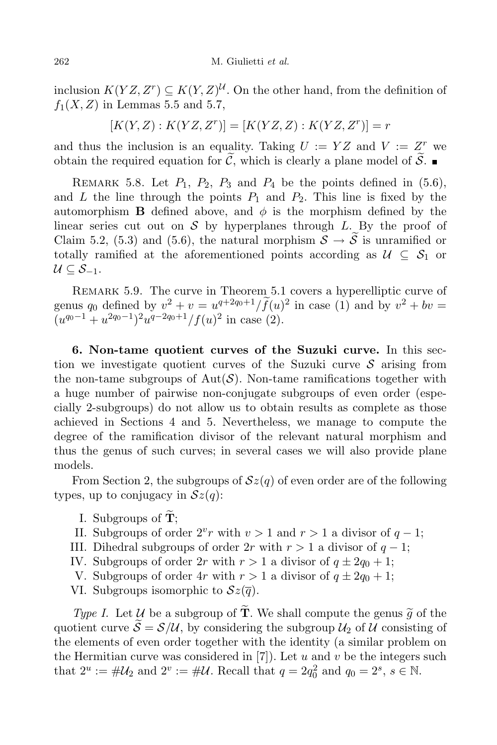inclusion  $K(YZ, Z^r) \subseteq K(Y, Z)^{\mathcal{U}}$ . On the other hand, from the definition of  $f_1(X, Z)$  in Lemmas 5.5 and 5.7,

$$
[K(Y, Z) : K(YZ, Zr)] = [K(YZ, Z) : K(YZ, Zr)] = r
$$

and thus the inclusion is an equality. Taking  $U := YZ$  and  $V := Z^r$  we obtain the required equation for  $\tilde{\mathcal{C}}$ , which is clearly a plane model of  $\tilde{\mathcal{S}}$ .

REMARK 5.8. Let  $P_1$ ,  $P_2$ ,  $P_3$  and  $P_4$  be the points defined in (5.6), and L the line through the points  $P_1$  and  $P_2$ . This line is fixed by the automorphism **B** defined above, and  $\phi$  is the morphism defined by the linear series cut out on  $S$  by hyperplanes through L. By the proof of Claim 5.2, (5.3) and (5.6), the natural morphism  $S \to \tilde{S}$  is unramified or totally ramified at the aforementioned points according as  $\mathcal{U} \subseteq \mathcal{S}_1$  or  $U \subset S_{-1}$ .

REMARK 5.9. The curve in Theorem 5.1 covers a hyperelliptic curve of genus  $q_0$  defined by  $v^2 + v = u^{q+2q_0+1}/f(u)^2$  in case (1) and by  $v^2 + bv =$  $(u^{q_0-1}+u^{2q_0-1})^2u^{q-2q_0+1}/f(u)^2$  in case (2).

6. Non-tame quotient curves of the Suzuki curve. In this section we investigate quotient curves of the Suzuki curve  $\mathcal S$  arising from the non-tame subgroups of  $Aut(S)$ . Non-tame ramifications together with a huge number of pairwise non-conjugate subgroups of even order (especially 2-subgroups) do not allow us to obtain results as complete as those achieved in Sections 4 and 5. Nevertheless, we manage to compute the degree of the ramification divisor of the relevant natural morphism and thus the genus of such curves; in several cases we will also provide plane models.

From Section 2, the subgroups of  $\mathcal{S}z(q)$  of even order are of the following types, up to conjugacy in  $\mathcal{S}z(q)$ :

- I. Subgroups of  $\tilde{\mathbf{T}}$ ;
- II. Subgroups of order  $2^v r$  with  $v > 1$  and  $r > 1$  a divisor of  $q 1$ ;
- III. Dihedral subgroups of order  $2r$  with  $r > 1$  a divisor of  $q 1$ ;
- IV. Subgroups of order 2r with  $r > 1$  a divisor of  $q \pm 2q_0 + 1$ ;
- V. Subgroups of order 4r with  $r > 1$  a divisor of  $q \pm 2q_0 + 1$ ;
- VI. Subgroups isomorphic to  $\mathcal{S}z(\overline{q})$ .

Type I. Let U be a subgroup of  $\widetilde{T}$ . We shall compute the genus  $\widetilde{q}$  of the quotient curve  $\mathcal{S} = \mathcal{S}/\mathcal{U}$ , by considering the subgroup  $\mathcal{U}_2$  of  $\mathcal{U}$  consisting of the elements of even order together with the identity (a similar problem on the Hermitian curve was considered in  $[7]$ . Let u and v be the integers such that  $2^u := \# \mathcal{U}_2$  and  $2^v := \# \mathcal{U}$ . Recall that  $q = 2q_0^2$  and  $q_0 = 2^s$ ,  $s \in \mathbb{N}$ .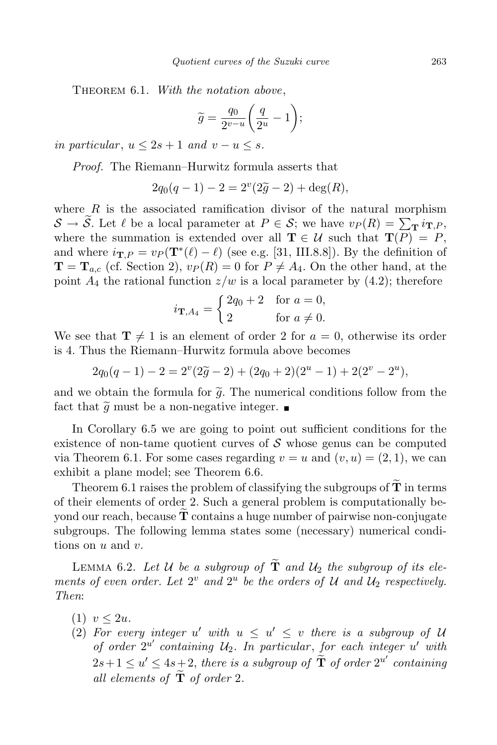THEOREM 6.1. With the notation above,

$$
\widetilde{g} = \frac{q_0}{2^{v-u}} \bigg( \frac{q}{2^u} - 1 \bigg);
$$

in particular,  $u \leq 2s + 1$  and  $v - u \leq s$ .

Proof. The Riemann–Hurwitz formula asserts that

$$
2q_0(q-1) - 2 = 2^v(2\tilde{g} - 2) + \deg(R),
$$

where  $R$  is the associated ramification divisor of the natural morphism  $\mathcal{S} \to \widetilde{\mathcal{S}}$ . Let  $\ell$  be a local parameter at  $P \in \mathcal{S}$ ; we have  $v_P(R) = \sum_{\tau \in \mathcal{S}} i_{\mathbf{T},P}$ , where the summation is extended over all  $\mathbf{T} \in \mathcal{U}$  such that  $\mathbf{T}(P) = P$ , and where  $i_{\mathbf{T},P} = v_P(\mathbf{T}^*(\ell) - \ell)$  (see e.g. [31, III.8.8]). By the definition of  $\mathbf{T} = \mathbf{T}_{a,c}$  (cf. Section 2),  $v_P(R) = 0$  for  $P \neq A_4$ . On the other hand, at the point  $A_4$  the rational function  $z/w$  is a local parameter by (4.2); therefore

$$
i_{\mathbf{T},A_4} = \begin{cases} 2q_0 + 2 & \text{for } a = 0, \\ 2 & \text{for } a \neq 0. \end{cases}
$$

We see that  $\mathbf{T} \neq 1$  is an element of order 2 for  $a = 0$ , otherwise its order is 4. Thus the Riemann–Hurwitz formula above becomes

$$
2q_0(q-1) - 2 = 2^{v}(2\tilde{g} - 2) + (2q_0 + 2)(2^{u} - 1) + 2(2^{v} - 2^{u}),
$$

and we obtain the formula for  $\tilde{g}$ . The numerical conditions follow from the fact that  $\tilde{g}$  must be a non-negative integer.

In Corollary 6.5 we are going to point out sufficient conditions for the existence of non-tame quotient curves of  $\mathcal S$  whose genus can be computed via Theorem 6.1. For some cases regarding  $v = u$  and  $(v, u) = (2, 1)$ , we can exhibit a plane model; see Theorem 6.6.

Theorem 6.1 raises the problem of classifying the subgroups of  $\widetilde{\mathbf{T}}$  in terms of their elements of order 2. Such a general problem is computationally beyond our reach, because  $\mathbf T$  contains a huge number of pairwise non-conjugate subgroups. The following lemma states some (necessary) numerical conditions on  $u$  and  $v$ .

LEMMA 6.2. Let U be a subgroup of  $\tilde{T}$  and  $U_2$  the subgroup of its elements of even order. Let  $2^v$  and  $2^u$  be the orders of U and  $\mathcal{U}_2$  respectively. Then:

- $(1)$   $v < 2u$ .
- (2) For every integer u' with  $u \leq u' \leq v$  there is a subgroup of U of order  $2^{u'}$  containing  $u_2$ . In particular, for each integer u' with  $2s+1\leq u'\leq 4s+2,$  there is a subgroup of  $\tilde{\textbf{T}}$  of order  $2^{u'}$  containing all elements of  $\tilde{\mathbf{T}}$  of order 2.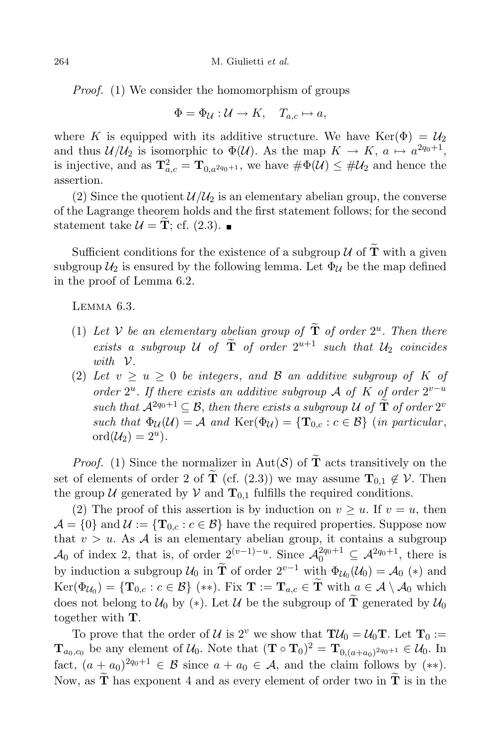Proof. (1) We consider the homomorphism of groups

$$
\Phi = \Phi_{\mathcal{U}} : \mathcal{U} \to K, \quad T_{a,c} \mapsto a,
$$

where K is equipped with its additive structure. We have Ker( $\Phi$ ) =  $\mathcal{U}_2$ and thus  $\mathcal{U}/\mathcal{U}_2$  is isomorphic to  $\Phi(\mathcal{U})$ . As the map  $K \to K$ ,  $a \mapsto a^{2q_0+1}$ , is injective, and as  $\mathbf{T}_{a,c}^2 = \mathbf{T}_{0,a^{2q_0+1}}$ , we have  $\#\Phi(\mathcal{U}) \leq \#\mathcal{U}_2$  and hence the assertion.

(2) Since the quotient  $\mathcal{U}/\mathcal{U}_2$  is an elementary abelian group, the converse of the Lagrange theorem holds and the first statement follows; for the second statement take  $\mathcal{U} = \mathbf{T}$ ; cf. (2.3).

Sufficient conditions for the existence of a subgroup  $\mathcal U$  of  $\widetilde{\mathbf T}$  with a given subgroup  $\mathcal{U}_2$  is ensured by the following lemma. Let  $\Phi_{\mathcal{U}}$  be the map defined in the proof of Lemma 6.2.

Lemma 6.3.

- (1) Let V be an elementary abelian group of  $\mathbf T$  of order  $2^u$ . Then there exists a subgroup U of  $\mathbf T$  of order  $2^{u+1}$  such that  $U_2$  coincides with V.
- (2) Let  $v \ge u \ge 0$  be integers, and  $\beta$  an additive subgroup of K of order  $2^u$ . If there exists an additive subgroup A of K of order  $2^{v-u}$ such that  $\mathcal{A}^{2q_0+1} \subseteq \mathcal{B}$ , then there exists a subgroup U of  $\mathbf T$  of order  $2^v$ such that  $\Phi_{\mathcal{U}}(\mathcal{U}) = \mathcal{A}$  and  $\text{Ker}(\Phi_{\mathcal{U}}) = {\{T_{0,c} : c \in \mathcal{B}\}}$  (in particular,  $\mathrm{ord}(\mathcal{U}_2)=2^u).$

*Proof.* (1) Since the normalizer in Aut(S) of  $\tilde{T}$  acts transitively on the set of elements of order 2 of  $\tilde{T}$  (cf. (2.3)) we may assume  $T_{0,1} \notin V$ . Then the group U generated by V and  $T_{0,1}$  fulfills the required conditions.

(2) The proof of this assertion is by induction on  $v \geq u$ . If  $v = u$ , then  $\mathcal{A} = \{0\}$  and  $\mathcal{U} := \{T_{0,c} : c \in \mathcal{B}\}\$  have the required properties. Suppose now that  $v > u$ . As A is an elementary abelian group, it contains a subgroup  $\mathcal{A}_0$  of index 2, that is, of order  $2^{(v-1)-u}$ . Since  $\mathcal{A}_0^{2q_0+1} \subseteq \mathcal{A}^{2q_0+1}$ , there is by induction a subgroup  $\mathcal{U}_0$  in  $\tilde{\mathbf{T}}$  of order  $2^{v-1}$  with  $\Phi_{\mathcal{U}_0}(\mathcal{U}_0) = \mathcal{A}_0$  (\*) and  $\text{Ker}(\Phi_{\mathcal{U}_0}) = \{ \mathbf{T}_{0,c} : c \in \mathcal{B} \} \, (*)$ . Fix  $\mathbf{T} := \mathbf{T}_{a,c} \in \mathbf{T}$  with  $a \in \mathcal{A} \setminus \mathcal{A}_0$  which does not belong to  $\mathcal{U}_0$  by (\*). Let U be the subgroup of  $\tilde{\mathbf{T}}$  generated by  $\mathcal{U}_0$ together with T.

To prove that the order of U is  $2^v$  we show that  $\mathbf{TU}_0 = U_0 \mathbf{T}$ . Let  $\mathbf{T}_0 :=$  $\mathbf{T}_{a_0,c_0}$  be any element of  $\mathcal{U}_0$ . Note that  $(\mathbf{T} \circ \mathbf{T}_0)^2 = \mathbf{T}_{0,(a+a_0)^2}$ <sub>40</sub>+1  $\in \mathcal{U}_0$ . In fact,  $(a \pm a_0)^{2q_0+1} \in \mathcal{B}$  since  $a + a_0 \in \mathcal{A}$ , and the claim follows by  $(**)$ . Now, as  $\widetilde{\mathbf{T}}$  has exponent 4 and as every element of order two in  $\widetilde{\mathbf{T}}$  is in the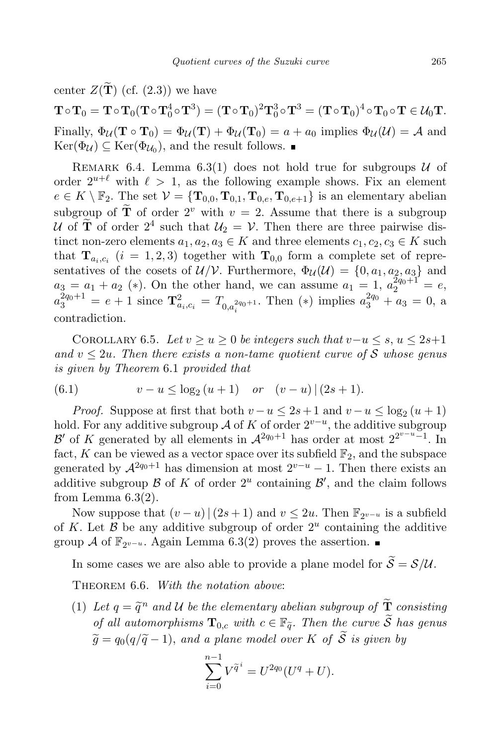center  $Z(\tilde{\mathbf{T}})$  (cf. (2.3)) we have

 $\mathbf{T}\circ\mathbf{T}_0=\mathbf{T}\circ\mathbf{T}_0(\mathbf{T}\circ\mathbf{T}_0^4\circ\mathbf{T}^3)=(\mathbf{T}\circ\mathbf{T}_0)^2\mathbf{T}_0^3\circ\mathbf{T}^3=(\mathbf{T}\circ\mathbf{T}_0)^4\circ\mathbf{T}_0\circ\mathbf{T}\in\mathcal{U}_0\mathbf{T}.$ Finally,  $\Phi_{\mathcal{U}}(\mathbf{T} \circ \mathbf{T}_0) = \Phi_{\mathcal{U}}(\mathbf{T}) + \Phi_{\mathcal{U}}(\mathbf{T}_0) = a + a_0$  implies  $\Phi_{\mathcal{U}}(\mathcal{U}) = \mathcal{A}$  and  $\text{Ker}(\Phi_{\mathcal{U}}) \subseteq \text{Ker}(\Phi_{\mathcal{U}_0})$ , and the result follows.

REMARK 6.4. Lemma 6.3(1) does not hold true for subgroups  $U$  of order  $2^{u+\ell}$  with  $\ell > 1$ , as the following example shows. Fix an element  $e \in K \setminus \mathbb{F}_2$ . The set  $\mathcal{V} = {\mathbf{T}_{0,0}, \mathbf{T}_{0,1}, \mathbf{T}_{0,e}, \mathbf{T}_{0,e+1}}$  is an elementary abelian subgroup of  $\tilde{\mathbf{T}}$  of order  $2^v$  with  $v = 2$ . Assume that there is a subgroup U of **T** of order  $2^4$  such that  $U_2 = V$ . Then there are three pairwise distinct non-zero elements  $a_1, a_2, a_3 \in K$  and three elements  $c_1, c_2, c_3 \in K$  such that  $\mathbf{T}_{a_i,c_i}$   $(i = 1, 2, 3)$  together with  $\mathbf{T}_{0,0}$  form a complete set of representatives of the cosets of  $\mathcal{U}/\mathcal{V}$ . Furthermore,  $\Phi_{\mathcal{U}}(\mathcal{U}) = \{0, a_1, a_2, a_3\}$  and  $a_3 = a_1 + a_2$  (\*). On the other hand, we can assume  $a_1 = 1$ ,  $a_2^{2q_0+1} = e$ ,  $a_3^{2q_0+1} = e + 1$  since  $\mathbf{T}_{a_i,c_i}^2 = T_{0,a_i^{2q_0+1}}$ . Then (\*) implies  $a_3^{2q_0} + a_3 = 0$ , a contradiction.

COROLLARY 6.5. Let  $v \ge u \ge 0$  be integers such that  $v-u \le s$ ,  $u \le 2s+1$ and  $v \leq 2u$ . Then there exists a non-tame quotient curve of S whose genus is given by Theorem 6.1 provided that

(6.1) 
$$
v - u \le \log_2(u+1) \quad or \quad (v-u) | (2s+1).
$$

*Proof.* Suppose at first that both  $v - u \leq 2s + 1$  and  $v - u \leq \log_2(u + 1)$ hold. For any additive subgroup A of K of order  $2^{v-u}$ , the additive subgroup B' of K generated by all elements in  $\mathcal{A}^{2q_0+1}$  has order at most  $2^{2^{v-u}-1}$ . In fact, K can be viewed as a vector space over its subfield  $\mathbb{F}_2$ , and the subspace generated by  $\mathcal{A}^{2q_0+1}$  has dimension at most  $2^{v-u}-1$ . Then there exists an additive subgroup  $\mathcal B$  of  $K$  of order  $2^u$  containing  $\mathcal B'$ , and the claim follows from Lemma  $6.3(2)$ .

Now suppose that  $(v - u) | (2s + 1)$  and  $v \le 2u$ . Then  $\mathbb{F}_{2^{v-u}}$  is a subfield of K. Let  $\beta$  be any additive subgroup of order  $2^u$  containing the additive group  $\mathcal A$  of  $\mathbb{F}_{2^{v-u}}$ . Again Lemma 6.3(2) proves the assertion.

In some cases we are also able to provide a plane model for  $\widetilde{S} = \mathcal{S}/\mathcal{U}$ .

THEOREM 6.6. With the notation above:

(1) Let  $q = \tilde{q}^n$  and U be the elementary abelian subgroup of  $\tilde{\mathbf{T}}$  consisting of all automorphisms  $\mathbf{T}_{0,c}$  with  $c \in \mathbb{F}_{\tilde{a}}$ . Then the curve  $\tilde{S}$  has genus  $\widetilde{q} = q_0(q/\widetilde{q}-1)$ , and a plane model over K of  $\widetilde{S}$  is given by

$$
\sum_{i=0}^{n-1} V^{\tilde{q}^i} = U^{2q_0} (U^q + U).
$$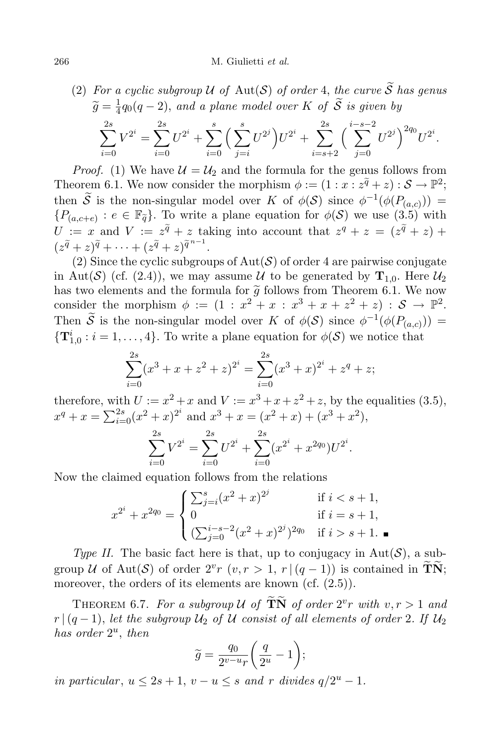#### 266 M. Giulietti et al.

(2) For a cyclic subgroup 
$$
\mathcal U
$$
 of Aut(S) of order 4, the curve S has genus  $\widetilde{g} = \frac{1}{4}q_0(q-2)$ , and a plane model over K of  $\widetilde{S}$  is given by\n
$$
\sum_{i=0}^{2s} V^{2^i} = \sum_{i=0}^{2s} U^{2^i} + \sum_{i=0}^{s} \left( \sum_{j=i}^{s} U^{2^j} \right) U^{2^i} + \sum_{i=s+2}^{2s} \left( \sum_{j=0}^{i-s-2} U^{2^j} \right)^{2q_0} U^{2^i}.
$$

*Proof.* (1) We have  $\mathcal{U} = \mathcal{U}_2$  and the formula for the genus follows from Theorem 6.1. We now consider the morphism  $\phi := (1 : x : z^{\tilde{q}} + z) : \mathcal{S} \to \mathbb{P}^2;$ then  $\overline{S}$  is the non-singular model over K of  $\phi(S)$  since  $\phi^{-1}(\phi(P_{(a,c)}))$  =  ${P_{(a,c+e)} : e \in \mathbb{F}_{\tilde{q}}}.$  To write a plane equation for  $\phi(\mathcal{S})$  we use  $(3.5)$  with  $U := x$  and  $V := z^{\tilde{q}} + z$  taking into account that  $z^q + z = (z^{\tilde{q}} + z) + z$  $(z^{\widetilde{q}}+z)^{\widetilde{q}}+\cdots+(z^{\widetilde{q}}+z)^{\widetilde{q}^{n-1}}.$ 

(2) Since the cyclic subgroups of  $Aut(S)$  of order 4 are pairwise conjugate in Aut(S) (cf. (2.4)), we may assume U to be generated by  $T_{1,0}$ . Here  $\mathcal{U}_2$ has two elements and the formula for  $\tilde{g}$  follows from Theorem 6.1. We now consider the morphism  $\phi := (1 : x^2 + x : x^3 + x + z^2 + z) : \mathcal{S} \to \mathbb{P}^2$ . Then S is the non-singular model over K of  $\phi(S)$  since  $\phi^{-1}(\phi(P_{(a,c)}))$  =  ${\bf T}_{1,0}^i : i = 1, \ldots, 4$ . To write a plane equation for  $\phi(\mathcal{S})$  we notice that

$$
\sum_{i=0}^{2s} (x^3 + x + z^2 + z)^{2^i} = \sum_{i=0}^{2s} (x^3 + x)^{2^i} + z^q + z;
$$

therefore, with  $U := x^2 + x$  and  $V := x^3 + x + z^2 + z$ , by the equalities (3.5),  $x^q + x = \sum_{i=0}^{2s} (x^2 + x)^{2^i}$  and  $x^3 + x = (x^2 + x) + (x^3 + x^2)$ ,

$$
\sum_{i=0}^{2s} V^{2^i} = \sum_{i=0}^{2s} U^{2^i} + \sum_{i=0}^{2s} (x^{2^i} + x^{2q_0}) U^{2^i}.
$$

Now the claimed equation follows from the relations

$$
x^{2^{i}} + x^{2q_{0}} = \begin{cases} \sum_{j=i}^{s} (x^{2} + x)^{2^{j}} & \text{if } i < s + 1, \\ 0 & \text{if } i = s + 1, \\ (\sum_{j=0}^{i-s-2} (x^{2} + x)^{2^{j}})^{2q_{0}} & \text{if } i > s + 1. \end{cases}
$$

Type II. The basic fact here is that, up to conjugacy in  $Aut(\mathcal{S})$ , a subgroup U of Aut(S) of order  $2^v r$   $(v, r > 1, r | (q - 1))$  is contained in TN; moreover, the orders of its elements are known (cf.  $(2.5)$ ).

THEOREM 6.7. For a subgroup U of  $\widetilde{\mathbf{T}}\widetilde{\mathbf{N}}$  of order  $2^v r$  with  $v, r > 1$  and  $r | (q-1)$ , let the subgroup  $\mathcal{U}_2$  of  $\mathcal U$  consist of all elements of order 2. If  $\mathcal{U}_2$ has order  $2^u$ , then

$$
\widetilde{g}=\frac{q_0}{2^{v-u}r}\bigg(\frac{q}{2^u}-1\bigg);
$$

in particular,  $u \leq 2s + 1$ ,  $v - u \leq s$  and r divides  $q/2^u - 1$ .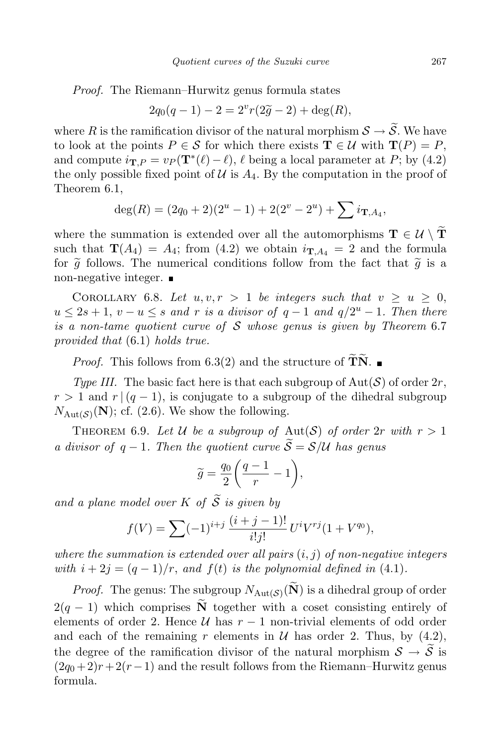Proof. The Riemann–Hurwitz genus formula states

$$
2q_0(q-1) - 2 = 2^v r(2\tilde{g} - 2) + \deg(R),
$$

where R is the ramification divisor of the natural morphism  $S \to S$ . We have to look at the points  $P \in \mathcal{S}$  for which there exists  $\mathbf{T} \in \mathcal{U}$  with  $\mathbf{T}(P) = P$ , and compute  $i_{\mathbf{T},P} = v_P(\mathbf{T}^*(\ell) - \ell), \ell$  being a local parameter at P; by (4.2) the only possible fixed point of  $\mathcal U$  is  $A_4$ . By the computation in the proof of Theorem 6.1,

$$
deg(R) = (2q_0 + 2)(2^u - 1) + 2(2^v - 2^u) + \sum i_{\mathbf{T}, A_4},
$$

where the summation is extended over all the automorphisms  $\mathbf{T} \in \mathcal{U} \setminus \widetilde{\mathbf{T}}$ such that  $\mathbf{T}(A_4) = A_4$ ; from (4.2) we obtain  $i_{\mathbf{T},A_4} = 2$  and the formula for  $\tilde{q}$  follows. The numerical conditions follow from the fact that  $\tilde{g}$  is a non-negative integer.

COROLLARY 6.8. Let  $u, v, r > 1$  be integers such that  $v \geq u \geq 0$ ,  $u \leq 2s + 1$ ,  $v - u \leq s$  and r is a divisor of  $q - 1$  and  $q/2^u - 1$ . Then there is a non-tame quotient curve of  $S$  whose genus is given by Theorem 6.7 provided that (6.1) holds true.

*Proof.* This follows from 6.3(2) and the structure of  $\overline{TN}$ .

Type III. The basic fact here is that each subgroup of  $Aut(\mathcal{S})$  of order  $2r$ ,  $r > 1$  and  $r/(q-1)$ , is conjugate to a subgroup of the dihedral subgroup  $N_{\text{Aut}(\mathcal{S})}(\mathbf{N})$ ; cf. (2.6). We show the following.

THEOREM 6.9. Let U be a subgroup of  $\text{Aut}(\mathcal{S})$  of order  $2r$  with  $r > 1$ a divisor of  $q-1$ . Then the quotient curve  $\widetilde{S} = \mathcal{S}/\mathcal{U}$  has genus

$$
\widetilde{g} = \frac{q_0}{2} \bigg( \frac{q-1}{r} - 1 \bigg),
$$

and a plane model over K of  $\widetilde{S}$  is given by

$$
f(V) = \sum (-1)^{i+j} \frac{(i+j-1)!}{i!j!} U^i V^{rj} (1 + V^{q_0}),
$$

where the summation is extended over all pairs  $(i, j)$  of non-negative integers with  $i + 2j = (q - 1)/r$ , and  $f(t)$  is the polynomial defined in (4.1).

*Proof.* The genus: The subgroup  $N_{\text{Aut}(\mathcal{S})}(\mathbf{N})$  is a dihedral group of order  $2(q-1)$  which comprises  $\tilde{\mathbf{N}}$  together with a coset consisting entirely of elements of order 2. Hence  $\mathcal U$  has  $r-1$  non-trivial elements of odd order and each of the remaining r elements in  $U$  has order 2. Thus, by (4.2), the degree of the ramification divisor of the natural morphism  $S \to S$  is  $(2q_0+2)r+2(r-1)$  and the result follows from the Riemann–Hurwitz genus formula.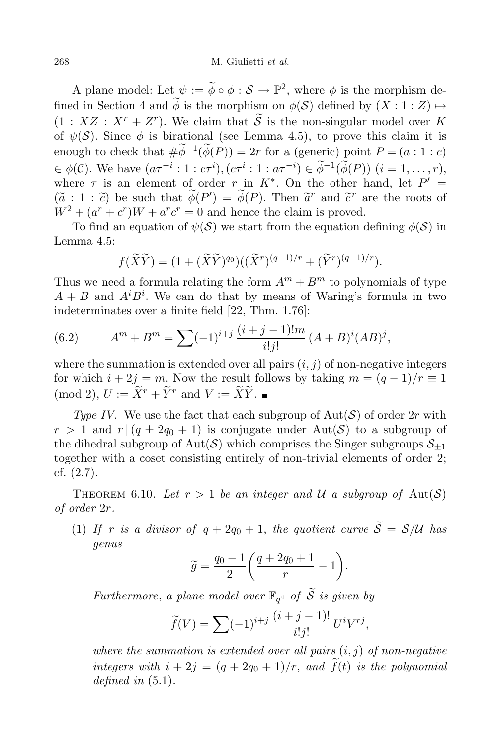A plane model: Let  $\psi := \widetilde{\phi} \circ \phi : \mathcal{S} \to \mathbb{P}^2$ , where  $\phi$  is the morphism defined in Section 4 and  $\widetilde{\phi}$  is the morphism on  $\phi(\mathcal{S})$  defined by  $(X:1:Z) \mapsto$  $(1 : XZ : X^r + Z^r)$ . We claim that  $S$  is the non-singular model over K of  $\psi(\mathcal{S})$ . Since  $\phi$  is birational (see Lemma 4.5), to prove this claim it is enough to check that  $\#\phi^{-1}(\phi(P)) = 2r$  for a (generic) point  $P = (a:1:c)$  $\in \phi(\mathcal{C})$ . We have  $(a\tau^{-i}: 1: c\tau^{i}), (c\tau^{i}: 1: a\tau^{-i}) \in \phi^{-1}(\phi(P))$   $(i = 1, ..., r),$ where  $\tau$  is an element of order  $r \text{ in } K^*$ . On the other hand, let  $P' =$  $(\tilde{a}: 1 : \tilde{c})$  be such that  $\phi(P') = \phi(P)$ . Then  $\tilde{a}^r$  and  $\tilde{c}^r$  are the roots of  $W^2 + (a^r + c^r)W + a^r c^r = 0$  and hence the claim is proved.

To find an equation of  $\psi(\mathcal{S})$  we start from the equation defining  $\phi(\mathcal{S})$  in Lemma 4.5:

$$
f(\widetilde{X}\widetilde{Y}) = (1 + (\widetilde{X}\widetilde{Y})^{q_0})((\widetilde{X}^r)^{(q-1)/r} + (\widetilde{Y}^r)^{(q-1)/r}).
$$

Thus we need a formula relating the form  $A^m + B^m$  to polynomials of type  $A + B$  and  $A^{i}B^{i}$ . We can do that by means of Waring's formula in two indeterminates over a finite field [22, Thm. 1.76]:

(6.2) 
$$
A^{m} + B^{m} = \sum (-1)^{i+j} \frac{(i+j-1)!m}{i!j!} (A+B)^{i} (AB)^{j},
$$

where the summation is extended over all pairs  $(i, j)$  of non-negative integers for which  $i + 2j = m$ . Now the result follows by taking  $m = (q - 1)/r \equiv 1$ (mod 2),  $U := \widetilde{X}^r + \widetilde{Y}^r$  and  $V := \widetilde{X}\widetilde{Y}$ .

Type IV. We use the fact that each subgroup of  $\text{Aut}(\mathcal{S})$  of order  $2r$  with  $r > 1$  and  $r \mid (q \pm 2q_0 + 1)$  is conjugate under Aut(S) to a subgroup of the dihedral subgroup of Aut(S) which comprises the Singer subgroups  $S_{+1}$ together with a coset consisting entirely of non-trivial elements of order 2; cf. (2.7).

THEOREM 6.10. Let  $r > 1$  be an integer and U a subgroup of  $\text{Aut}(\mathcal{S})$ of order 2r.

(1) If r is a divisor of  $q + 2q_0 + 1$ , the quotient curve  $\widetilde{S} = \mathcal{S}/\mathcal{U}$  has genus

$$
\widetilde{g} = \frac{q_0 - 1}{2} \left( \frac{q + 2q_0 + 1}{r} - 1 \right).
$$

Furthermore, a plane model over  $\mathbb{F}_{q^4}$  of  $\widetilde{\mathcal{S}}$  is given by

$$
\widetilde{f}(V) = \sum (-1)^{i+j} \frac{(i+j-1)!}{i!j!} U^i V^{rj},
$$

where the summation is extended over all pairs  $(i, j)$  of non-negative integers with  $i + 2j = (q + 2q_0 + 1)/r$ , and  $\tilde{f}(t)$  is the polynomial defined in  $(5.1)$ .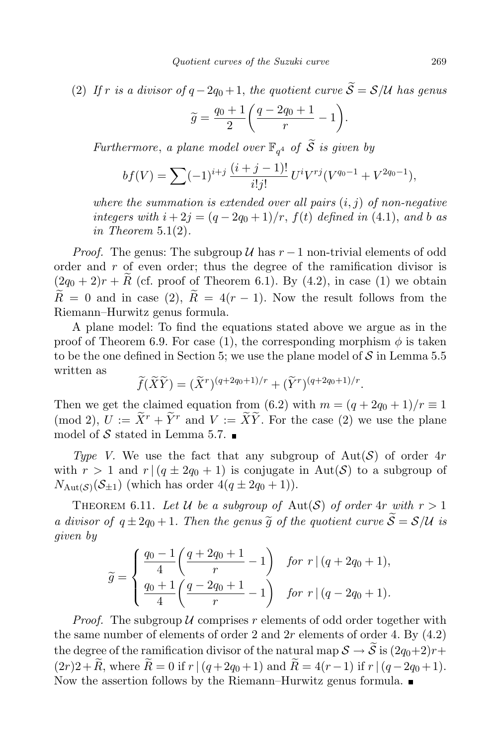(2) If r is a divisor of  $q-2q_0+1$ , the quotient curve  $\widetilde{S} = \mathcal{S}/\mathcal{U}$  has genus

$$
\widetilde{g} = \frac{q_0 + 1}{2} \left( \frac{q - 2q_0 + 1}{r} - 1 \right).
$$

Furthermore, a plane model over  $\mathbb{F}_{q^4}$  of  $\widetilde{S}$  is given by

$$
bf(V) = \sum (-1)^{i+j} \frac{(i+j-1)!}{i!j!} U^i V^{rj} (V^{q_0-1} + V^{2q_0-1}),
$$

where the summation is extended over all pairs  $(i, j)$  of non-negative integers with  $i + 2j = (q - 2q_0 + 1)/r$ ,  $f(t)$  defined in (4.1), and b as in Theorem  $5.1(2)$ .

*Proof.* The genus: The subgroup  $\mathcal U$  has  $r-1$  non-trivial elements of odd order and r of even order; thus the degree of the ramification divisor is  $(2q_0 + 2)r + \widetilde{R}$  (cf. proof of Theorem 6.1). By (4.2), in case (1) we obtain  $\widetilde{R} = 0$  and in case (2),  $\widetilde{R} = 4(r - 1)$ . Now the result follows from the Riemann–Hurwitz genus formula.

A plane model: To find the equations stated above we argue as in the proof of Theorem 6.9. For case (1), the corresponding morphism  $\phi$  is taken to be the one defined in Section 5; we use the plane model of  $S$  in Lemma 5.5 written as

$$
\widetilde{f}(\widetilde{X}\widetilde{Y}) = (\widetilde{X}^r)^{(q+2q_0+1)/r} + (\widetilde{Y}^r)^{(q+2q_0+1)/r}.
$$

Then we get the claimed equation from (6.2) with  $m = (q + 2q_0 + 1)/r \equiv 1$ (mod 2),  $U := \tilde{X}^r + \tilde{Y}^r$  and  $V := \tilde{X}\tilde{Y}$ . For the case (2) we use the plane model of S stated in Lemma 5.7.  $\blacksquare$ 

Type V. We use the fact that any subgroup of  $Aut(\mathcal{S})$  of order  $4r$ with  $r > 1$  and  $r \mid (q \pm 2q_0 + 1)$  is conjugate in Aut(S) to a subgroup of  $N_{\text{Aut}(\mathcal{S})}(\mathcal{S}_{\pm 1})$  (which has order  $4(q \pm 2q_0 + 1)$ ).

THEOREM 6.11. Let U be a subgroup of Aut(S) of order  $4r$  with  $r > 1$ a divisor of  $q \pm 2q_0 + 1$ . Then the genus  $\widetilde{g}$  of the quotient curve  $\widetilde{S} = S/U$  is given by

$$
\widetilde{g} = \begin{cases} \frac{q_0 - 1}{4} \left( \frac{q + 2q_0 + 1}{r} - 1 \right) & \text{for } r \mid (q + 2q_0 + 1), \\ \frac{q_0 + 1}{4} \left( \frac{q - 2q_0 + 1}{r} - 1 \right) & \text{for } r \mid (q - 2q_0 + 1). \end{cases}
$$

*Proof.* The subgroup U comprises r elements of odd order together with the same number of elements of order 2 and  $2r$  elements of order 4. By  $(4.2)$ the degree of the ramification divisor of the natural map  $S \to \tilde{S}$  is  $(2q_0+2)r+$  $(2r)2+\tilde{R}$ , where  $\tilde{R}=0$  if  $r \mid (q+2q_0+1)$  and  $\tilde{R}=4(r-1)$  if  $r \mid (q-2q_0+1)$ . Now the assertion follows by the Riemann–Hurwitz genus formula.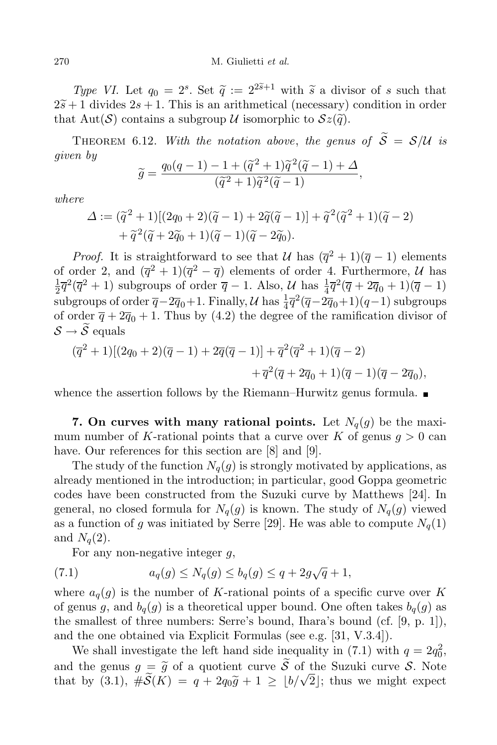Type VI. Let  $q_0 = 2^s$ . Set  $\tilde{q} := 2^{2\tilde{s}+1}$  with  $\tilde{s}$  a divisor of s such that  $2\tilde{s}+1$  divides  $2s+1$ . This is an arithmetical (necessary) condition in order that Aut(S) contains a subgroup U isomorphic to  $\mathcal{S}z(\tilde{q})$ .

THEOREM 6.12. With the notation above, the genus of  $\widetilde{S} = S/U$  is given by  $220\times 10^{-2}$ 

$$
\widetilde{g} = \frac{q_0(q-1) - 1 + (\widetilde{q}^2 + 1)\widetilde{q}^2(\widetilde{q} - 1) + \Delta}{(\widetilde{q}^2 + 1)\widetilde{q}^2(\widetilde{q} - 1)},
$$

where

$$
\Delta := (\tilde{q}^2 + 1)[(2q_0 + 2)(\tilde{q} - 1) + 2\tilde{q}(\tilde{q} - 1)] + \tilde{q}^2(\tilde{q}^2 + 1)(\tilde{q} - 2) + \tilde{q}^2(\tilde{q} + 2\tilde{q}_0 + 1)(\tilde{q} - 1)(\tilde{q} - 2\tilde{q}_0).
$$

*Proof.* It is straightforward to see that  $\mathcal{U}$  has  $(\overline{q}^2 + 1)(\overline{q} - 1)$  elements of order 2, and  $(\overline{q}^2 + 1)(\overline{q}^2 - \overline{q})$  elements of order 4. Furthermore,  $\mathcal{U}$  has 1  $\frac{1}{2}\overline{q}^2(\overline{q}^2+1)$  subgroups of order  $\overline{q}-1$ . Also,  $\mathcal{U}$  has  $\frac{1}{4}\overline{q}^2(\overline{q}+2\overline{q}_0+1)(\overline{q}-1)$ subgroups of order  $\overline{q} - 2\overline{q}_0 + 1$ . Finally, U has  $\frac{1}{4}\overline{q}^2(\overline{q} - 2\overline{q}_0 + 1)(q-1)$  subgroups of order  $\overline{q} + 2\overline{q}_0 + 1$ . Thus by (4.2) the degree of the ramification divisor of  $\mathcal{S} \rightarrow \widetilde{\mathcal{S}}$  equals

$$
\begin{aligned} (\overline{q}^2 + 1)[(2q_0 + 2)(\overline{q} - 1) + 2\overline{q}(\overline{q} - 1)] + \overline{q}^2(\overline{q}^2 + 1)(\overline{q} - 2) \\ &+ \overline{q}^2(\overline{q} + 2\overline{q}_0 + 1)(\overline{q} - 1)(\overline{q} - 2\overline{q}_0), \end{aligned}
$$

whence the assertion follows by the Riemann–Hurwitz genus formula.  $\blacksquare$ 

7. On curves with many rational points. Let  $N_q(g)$  be the maximum number of K-rational points that a curve over K of genus  $q > 0$  can have. Our references for this section are [8] and [9].

The study of the function  $N_q(g)$  is strongly motivated by applications, as already mentioned in the introduction; in particular, good Goppa geometric codes have been constructed from the Suzuki curve by Matthews [24]. In general, no closed formula for  $N_q(g)$  is known. The study of  $N_q(g)$  viewed as a function of g was initiated by Serre [29]. He was able to compute  $N_q(1)$ and  $N_q(2)$ .

For any non-negative integer  $q$ ,

(7.1) 
$$
a_q(g) \le N_q(g) \le b_q(g) \le q + 2g\sqrt{q} + 1,
$$

where  $a_q(g)$  is the number of K-rational points of a specific curve over K of genus g, and  $b_q(g)$  is a theoretical upper bound. One often takes  $b_q(g)$  as the smallest of three numbers: Serre's bound, Ihara's bound (cf. [9, p. 1]), and the one obtained via Explicit Formulas (see e.g. [31, V.3.4]).

We shall investigate the left hand side inequality in (7.1) with  $q = 2q_0^2$ , and the genus  $g = \tilde{g}$  of a quotient curve  $\tilde{S}$  of the Suzuki curve S. Note that by (3.1),  $\#\widetilde{\mathcal{S}}(K) = q + 2q_0\widetilde{g} + 1 \geq \lfloor b/\sqrt{2} \rfloor$ ; thus we might expect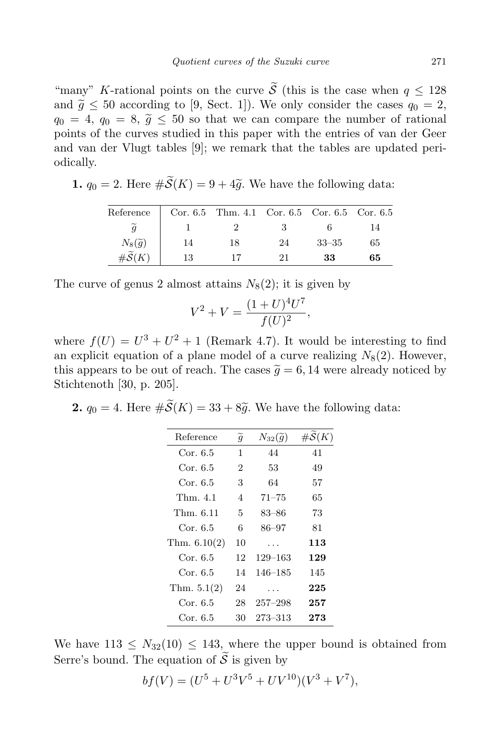"many" K-rational points on the curve  $\tilde{\mathcal{S}}$  (this is the case when  $q \leq 128$ ) and  $\tilde{q} \leq 50$  according to [9, Sect. 1]). We only consider the cases  $q_0 = 2$ ,  $q_0 = 4, q_0 = 8, \tilde{g} \le 50$  so that we can compare the number of rational points of the curves studied in this paper with the entries of van der Geer and van der Vlugt tables [9]; we remark that the tables are updated periodically.

1.  $q_0 = 2$ . Here  $\#\widetilde{\mathcal{S}}(K) = 9 + 4\widetilde{q}$ . We have the following data:

| Reference                                              |    | Cor. 6.5 Thm. 4.1 Cor. 6.5 Cor. 6.5 Cor. 6.5 |    |           |    |
|--------------------------------------------------------|----|----------------------------------------------|----|-----------|----|
|                                                        |    |                                              |    |           | 14 |
|                                                        | 14 | 18                                           | 24 | $33 - 35$ | 65 |
| $N_8(\widetilde{g})$<br>$\#\widetilde{\mathcal{S}}(K)$ | 13 |                                              | 21 | 33        | 65 |

The curve of genus 2 almost attains  $N_8(2)$ ; it is given by

$$
V^2 + V = \frac{(1+U)^4 U^7}{f(U)^2},
$$

where  $f(U) = U^3 + U^2 + 1$  (Remark 4.7). It would be interesting to find an explicit equation of a plane model of a curve realizing  $N_8(2)$ . However, this appears to be out of reach. The cases  $\tilde{g} = 6, 14$  were already noticed by Stichtenoth [30, p. 205].

**2.**  $q_0 = 4$ . Here  $\#\widetilde{\mathcal{S}}(K) = 33 + 8\widetilde{q}$ . We have the following data:

| $\tilde{g}$    | $N_{32}(\widetilde{q})$ | $\#\mathcal{S}(K)$ |
|----------------|-------------------------|--------------------|
| 1              | 44                      | 41                 |
| $\overline{2}$ | 53                      | 49                 |
| 3              | 64                      | 57                 |
| 4              | $71 - 75$               | 65                 |
| 5              | 83–86                   | 73                 |
| 6              | 86–97                   | 81                 |
| 10             | .                       | 113                |
| 12             | 129–163                 | 129                |
| 14             | 146–185                 | 145                |
| 24             | $\cdots$                | 225                |
| 28             | $257 - 298$             | 257                |
| 30             | 273–313                 | 273                |
|                |                         |                    |

We have  $113 \leq N_{32}(10) \leq 143$ , where the upper bound is obtained from Serre's bound. The equation of  $\widetilde{S}$  is given by

$$
bf(V) = (U^5 + U^3V^5 + UV^{10})(V^3 + V^7),
$$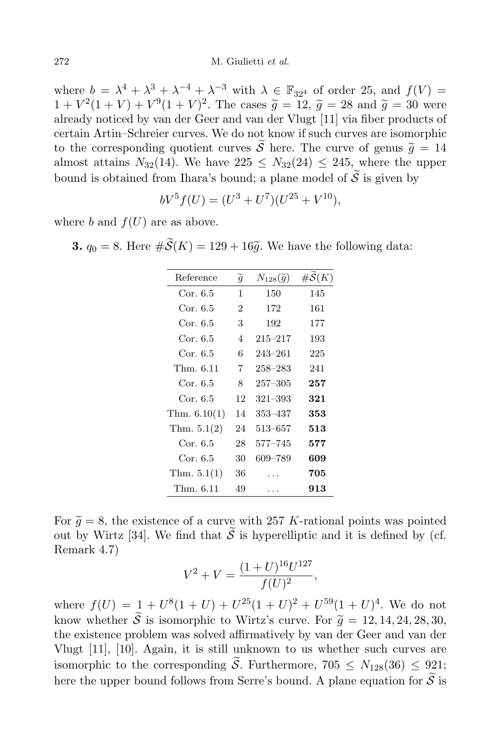where  $b = \lambda^4 + \lambda^3 + \lambda^{-4} + \lambda^{-3}$  with  $\lambda \in \mathbb{F}_{32^4}$  of order 25, and  $f(V) =$  $1 + V^2(1 + V) + V^9(1 + V)^2$ . The cases  $\tilde{g} = 12$ ,  $\tilde{g} = 28$  and  $\tilde{g} = 30$  were already noticed by van der Geer and van der Vlugt [11] via fiber products of certain Artin–Schreier curves. We do not know if such curves are isomorphic to the corresponding quotient curves  $\widetilde{S}$  here. The curve of genus  $\widetilde{q} = 14$ almost attains  $N_{32}(14)$ . We have  $225 \le N_{32}(24) \le 245$ , where the upper bound is obtained from Ihara's bound; a plane model of  $\tilde{S}$  is given by

$$
bV^5 f(U) = (U^3 + U^7)(U^{25} + V^{10}),
$$

where b and  $f(U)$  are as above.

**3.**  $q_0 = 8$ . Here  $\#\widetilde{\mathcal{S}}(K) = 129 + 16\widetilde{q}$ . We have the following data:

| $\tilde{g}$    | $N_{128}(\widetilde{g})$ | $\#\mathcal{S}(K)$ |
|----------------|--------------------------|--------------------|
| 1              | 150                      | 145                |
| $\overline{2}$ | 172                      | 161                |
| 3              | 192                      | 177                |
| 4              | $215 - 217$              | 193                |
| 6              | 243–261                  | 225                |
| 7              | $258 - 283$              | 241                |
| 8              | $257 - 305$              | 257                |
| 12             | $321 - 393$              | 321                |
| 14             | 353–437                  | 353                |
| 24             | $513 - 657$              | $_{\bf 513}$       |
| 28             | $577 - 745$              | 577                |
| 30             | 609-789                  | 609                |
| 36             |                          | 705                |
| 49             |                          | 913                |
|                |                          |                    |

For  $\tilde{q} = 8$ , the existence of a curve with 257 K-rational points was pointed out by Wirtz [34]. We find that  $\widetilde{S}$  is hyperelliptic and it is defined by (cf. Remark 4.7)

$$
V^2 + V = \frac{(1+U)^{16}U^{127}}{f(U)^2},
$$

where  $f(U) = 1 + U^8(1 + U) + U^{25}(1 + U)^2 + U^{59}(1 + U)^4$ . We do not know whether  $\widetilde{S}$  is isomorphic to Wirtz's curve. For  $\widetilde{g} = 12, 14, 24, 28, 30,$ the existence problem was solved affirmatively by van der Geer and van der Vlugt [11], [10]. Again, it is still unknown to us whether such curves are isomorphic to the corresponding  $\widetilde{\mathcal{S}}$ . Furthermore, 705  $\leq N_{128}(36) \leq 921$ ; here the upper bound follows from Serre's bound. A plane equation for  $\widetilde{S}$  is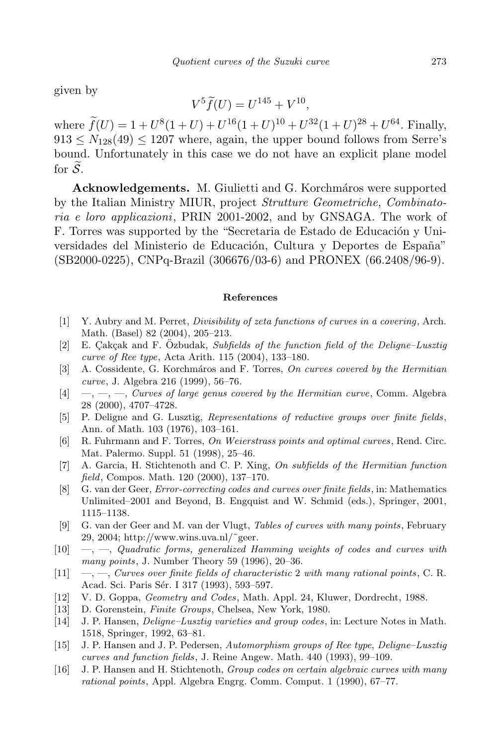given by

$$
V^5\widetilde{f}(U) = U^{145} + V^{10},
$$

where  $f(U) = 1 + U^8(1+U) + U^{16}(1+U)^{10} + U^{32}(1+U)^{28} + U^{64}$ . Finally,  $913 \leq N_{128}(49) \leq 1207$  where, again, the upper bound follows from Serre's bound. Unfortunately in this case we do not have an explicit plane model for  $\widetilde{\mathcal{S}}$ .

Acknowledgements. M. Giulietti and G. Korchmáros were supported by the Italian Ministry MIUR, project Strutture Geometriche, Combinatoria e loro applicazioni, PRIN 2001-2002, and by GNSAGA. The work of F. Torres was supported by the "Secretaria de Estado de Educación y Universidades del Ministerio de Educación, Cultura y Deportes de España" (SB2000-0225), CNPq-Brazil (306676/03-6) and PRONEX (66.2408/96-9).

### References

- [1] Y. Aubry and M. Perret, Divisibility of zeta functions of curves in a covering, Arch. Math. (Basel) 82 (2004), 205–213.
- [2] E. Çakçak and F. Özbudak, Subfields of the function field of the Deligne–Lusztig curve of Ree type, Acta Arith. 115 (2004), 133–180.
- [3] A. Cossidente, G. Korchmáros and F. Torres, On curves covered by the Hermitian curve, J. Algebra 216 (1999), 56–76.
- $[4] \quad -,-, \quad -, \quad Curves \ of \ large \ genus \ covered \ by \ the \ Hermitian \ curve, \ Comm. \ Algebra$ 28 (2000), 4707–4728.
- [5] P. Deligne and G. Lusztig, Representations of reductive groups over finite fields, Ann. of Math. 103 (1976), 103–161.
- [6] R. Fuhrmann and F. Torres, On Weierstrass points and optimal curves, Rend. Circ. Mat. Palermo. Suppl. 51 (1998), 25–46.
- [7] A. Garcia, H. Stichtenoth and C. P. Xing, On subfields of the Hermitian function field, Compos. Math. 120 (2000), 137–170.
- [8] G. van der Geer, Error-correcting codes and curves over finite fields, in: Mathematics Unlimited–2001 and Beyond, B. Engquist and W. Schmid (eds.), Springer, 2001, 1115–1138.
- [9] G. van der Geer and M. van der Vlugt, Tables of curves with many points, February 29, 2004; http://www.wins.uva.nl/ $\degree$ geer.
- $[10] \quad , \quad -$ , Quadratic forms, generalized Hamming weights of codes and curves with many points, J. Number Theory 59 (1996), 20–36.
- $[11] \quad -,-$ , Curves over finite fields of characteristic 2 with many rational points, C. R. Acad. Sci. Paris Sér. I 317 (1993), 593-597.
- [12] V. D. Goppa, Geometry and Codes, Math. Appl. 24, Kluwer, Dordrecht, 1988.
- [13] D. Gorenstein, Finite Groups, Chelsea, New York, 1980.
- [14] J. P. Hansen, Deligne–Lusztig varieties and group codes, in: Lecture Notes in Math. 1518, Springer, 1992, 63–81.
- [15] J. P. Hansen and J. P. Pedersen, Automorphism groups of Ree type, Deligne–Lusztig curves and function fields, J. Reine Angew. Math. 440 (1993), 99–109.
- [16] J. P. Hansen and H. Stichtenoth, Group codes on certain algebraic curves with many rational points, Appl. Algebra Engrg. Comm. Comput. 1 (1990), 67–77.